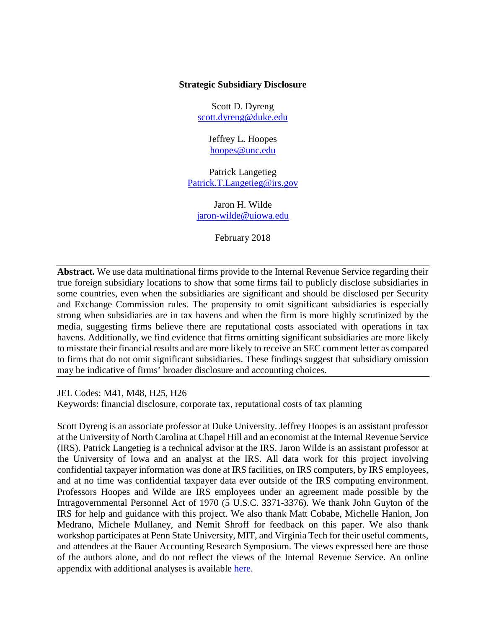## **Strategic Subsidiary Disclosure**

Scott D. Dyreng [scott.dyreng@duke.edu](mailto:scott.dyreng@duke.edu)

> Jeffrey L. Hoopes [hoopes@unc.edu](mailto:hoopes@unc.edu)

Patrick Langetieg [Patrick.T.Langetieg@irs.gov](mailto:Patrick.T.Langetieg@irs.gov)

Jaron H. Wilde [jaron-wilde@uiowa.edu](mailto:jaron-wilde@uiowa.edu)

February 2018

**Abstract.** We use data multinational firms provide to the Internal Revenue Service regarding their true foreign subsidiary locations to show that some firms fail to publicly disclose subsidiaries in some countries, even when the subsidiaries are significant and should be disclosed per Security and Exchange Commission rules. The propensity to omit significant subsidiaries is especially strong when subsidiaries are in tax havens and when the firm is more highly scrutinized by the media, suggesting firms believe there are reputational costs associated with operations in tax havens. Additionally, we find evidence that firms omitting significant subsidiaries are more likely to misstate their financial results and are more likely to receive an SEC comment letter as compared to firms that do not omit significant subsidiaries. These findings suggest that subsidiary omission may be indicative of firms' broader disclosure and accounting choices.

JEL Codes: M41, M48, H25, H26

Keywords: financial disclosure, corporate tax, reputational costs of tax planning

Scott Dyreng is an associate professor at Duke University. Jeffrey Hoopes is an assistant professor at the University of North Carolina at Chapel Hill and an economist at the Internal Revenue Service (IRS). Patrick Langetieg is a technical advisor at the IRS. Jaron Wilde is an assistant professor at the University of Iowa and an analyst at the IRS. All data work for this project involving confidential taxpayer information was done at IRS facilities, on IRS computers, by IRS employees, and at no time was confidential taxpayer data ever outside of the IRS computing environment. Professors Hoopes and Wilde are IRS employees under an agreement made possible by the Intragovernmental Personnel Act of 1970 (5 U.S.C. 3371-3376). We thank John Guyton of the IRS for help and guidance with this project. We also thank Matt Cobabe, Michelle Hanlon, Jon Medrano, Michele Mullaney, and Nemit Shroff for feedback on this paper. We also thank workshop participates at Penn State University, MIT, and Virginia Tech for their useful comments, and attendees at the Bauer Accounting Research Symposium. The views expressed here are those of the authors alone, and do not reflect the views of the Internal Revenue Service. An online appendix with additional analyses is available [here.](https://www.dropbox.com/s/q4he4t3juwn589f/Online%20Appendix.pdf?dl=1)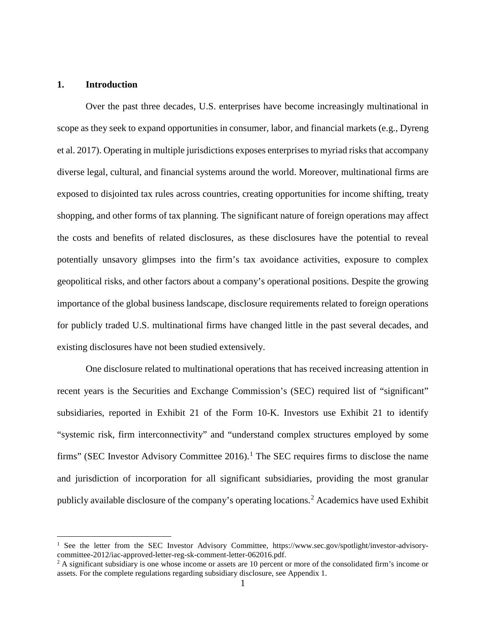# **1. Introduction**

Over the past three decades, U.S. enterprises have become increasingly multinational in scope as they seek to expand opportunities in consumer, labor, and financial markets (e.g., Dyreng et al. 2017). Operating in multiple jurisdictions exposes enterprises to myriad risks that accompany diverse legal, cultural, and financial systems around the world. Moreover, multinational firms are exposed to disjointed tax rules across countries, creating opportunities for income shifting, treaty shopping, and other forms of tax planning. The significant nature of foreign operations may affect the costs and benefits of related disclosures, as these disclosures have the potential to reveal potentially unsavory glimpses into the firm's tax avoidance activities, exposure to complex geopolitical risks, and other factors about a company's operational positions. Despite the growing importance of the global business landscape, disclosure requirements related to foreign operations for publicly traded U.S. multinational firms have changed little in the past several decades, and existing disclosures have not been studied extensively.

One disclosure related to multinational operations that has received increasing attention in recent years is the Securities and Exchange Commission's (SEC) required list of "significant" subsidiaries, reported in Exhibit 21 of the Form 10-K. Investors use Exhibit 21 to identify "systemic risk, firm interconnectivity" and "understand complex structures employed by some firms" (SEC Investor Advisory Committee 20[1](#page-1-0)6).<sup>1</sup> The SEC requires firms to disclose the name and jurisdiction of incorporation for all significant subsidiaries, providing the most granular publicly available disclosure of the company's operating locations. [2](#page-1-1) Academics have used Exhibit

<span id="page-1-0"></span><sup>&</sup>lt;sup>1</sup> See the letter from the SEC Investor Advisory Committee, https://www.sec.gov/spotlight/investor-advisorycommittee-2012/iac-approved-letter-reg-sk-comment-letter-062016.pdf.

<span id="page-1-1"></span> $2$  A significant subsidiary is one whose income or assets are 10 percent or more of the consolidated firm's income or assets. For the complete regulations regarding subsidiary disclosure, see Appendix 1.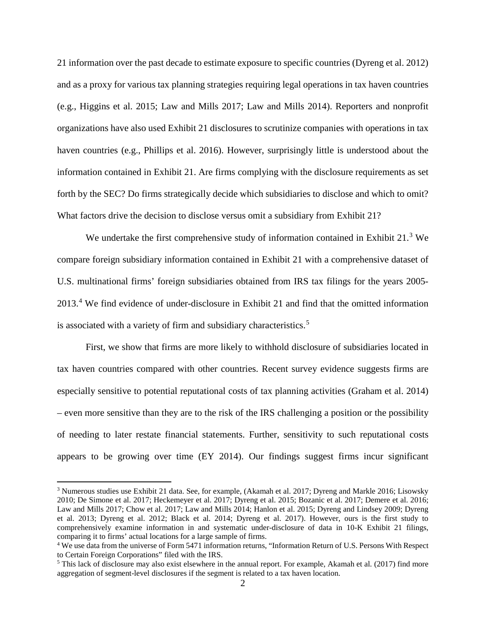21 information over the past decade to estimate exposure to specific countries (Dyreng et al. 2012) and as a proxy for various tax planning strategies requiring legal operations in tax haven countries (e.g., Higgins et al. 2015; Law and Mills 2017; Law and Mills 2014). Reporters and nonprofit organizations have also used Exhibit 21 disclosures to scrutinize companies with operations in tax haven countries (e.g., Phillips et al. 2016). However, surprisingly little is understood about the information contained in Exhibit 21. Are firms complying with the disclosure requirements as set forth by the SEC? Do firms strategically decide which subsidiaries to disclose and which to omit? What factors drive the decision to disclose versus omit a subsidiary from Exhibit 21?

We undertake the first comprehensive study of information contained in Exhibit  $21<sup>3</sup>$  $21<sup>3</sup>$  $21<sup>3</sup>$  We compare foreign subsidiary information contained in Exhibit 21 with a comprehensive dataset of U.S. multinational firms' foreign subsidiaries obtained from IRS tax filings for the years 2005- 2013. [4](#page-2-1) We find evidence of under-disclosure in Exhibit 21 and find that the omitted information is associated with a variety of firm and subsidiary characteristics.<sup>[5](#page-2-2)</sup>

First, we show that firms are more likely to withhold disclosure of subsidiaries located in tax haven countries compared with other countries. Recent survey evidence suggests firms are especially sensitive to potential reputational costs of tax planning activities (Graham et al. 2014) – even more sensitive than they are to the risk of the IRS challenging a position or the possibility of needing to later restate financial statements. Further, sensitivity to such reputational costs appears to be growing over time (EY 2014). Our findings suggest firms incur significant

<span id="page-2-0"></span><sup>&</sup>lt;sup>3</sup> Numerous studies use Exhibit 21 data. See, for example, (Akamah et al. 2017; Dyreng and Markle 2016; Lisowsky 2010; De Simone et al. 2017; Heckemeyer et al. 2017; Dyreng et al. 2015; Bozanic et al. 2017; Demere et al. 2016; Law and Mills 2017; Chow et al. 2017; Law and Mills 2014; Hanlon et al. 2015; Dyreng and Lindsey 2009; Dyreng et al. 2013; Dyreng et al. 2012; Black et al. 2014; Dyreng et al. 2017). However, ours is the first study to comprehensively examine information in and systematic under-disclosure of data in 10-K Exhibit 21 filings, comparing it to firms' actual locations for a large sample of firms.

<span id="page-2-1"></span><sup>4</sup> We use data from the universe of Form 5471 information returns, "Information Return of U.S. Persons With Respect to Certain Foreign Corporations" filed with the IRS.

<span id="page-2-2"></span><sup>5</sup> This lack of disclosure may also exist elsewhere in the annual report. For example, Akamah et al. (2017) find more aggregation of segment-level disclosures if the segment is related to a tax haven location.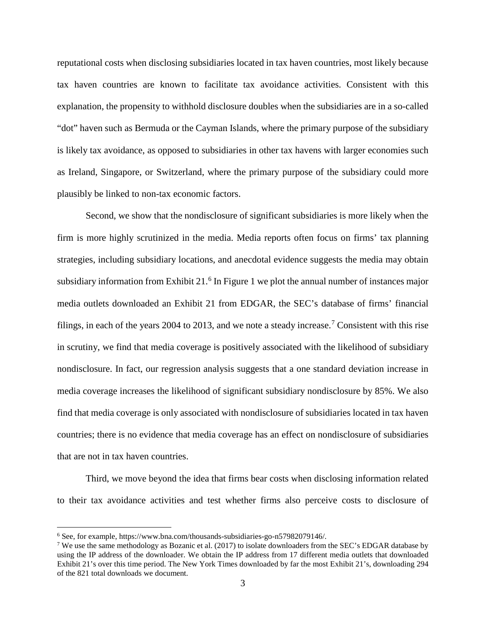reputational costs when disclosing subsidiaries located in tax haven countries, most likely because tax haven countries are known to facilitate tax avoidance activities. Consistent with this explanation, the propensity to withhold disclosure doubles when the subsidiaries are in a so-called "dot" haven such as Bermuda or the Cayman Islands, where the primary purpose of the subsidiary is likely tax avoidance, as opposed to subsidiaries in other tax havens with larger economies such as Ireland, Singapore, or Switzerland, where the primary purpose of the subsidiary could more plausibly be linked to non-tax economic factors.

Second, we show that the nondisclosure of significant subsidiaries is more likely when the firm is more highly scrutinized in the media. Media reports often focus on firms' tax planning strategies, including subsidiary locations, and anecdotal evidence suggests the media may obtain subsidiary information from Exhibit 21.<sup>[6](#page-3-0)</sup> In Figure 1 we plot the annual number of instances major media outlets downloaded an Exhibit 21 from EDGAR, the SEC's database of firms' financial filings, in each of the years 2004 to 2013, and we note a steady increase.<sup>[7](#page-3-1)</sup> Consistent with this rise in scrutiny, we find that media coverage is positively associated with the likelihood of subsidiary nondisclosure. In fact, our regression analysis suggests that a one standard deviation increase in media coverage increases the likelihood of significant subsidiary nondisclosure by 85%. We also find that media coverage is only associated with nondisclosure of subsidiaries located in tax haven countries; there is no evidence that media coverage has an effect on nondisclosure of subsidiaries that are not in tax haven countries.

Third, we move beyond the idea that firms bear costs when disclosing information related to their tax avoidance activities and test whether firms also perceive costs to disclosure of

<span id="page-3-0"></span> <sup>6</sup> See, for example, https://www.bna.com/thousands-subsidiaries-go-n57982079146/.

<span id="page-3-1"></span><sup>&</sup>lt;sup>7</sup> We use the same methodology as Bozanic et al. (2017) to isolate downloaders from the SEC's EDGAR database by using the IP address of the downloader. We obtain the IP address from 17 different media outlets that downloaded Exhibit 21's over this time period. The New York Times downloaded by far the most Exhibit 21's, downloading 294 of the 821 total downloads we document.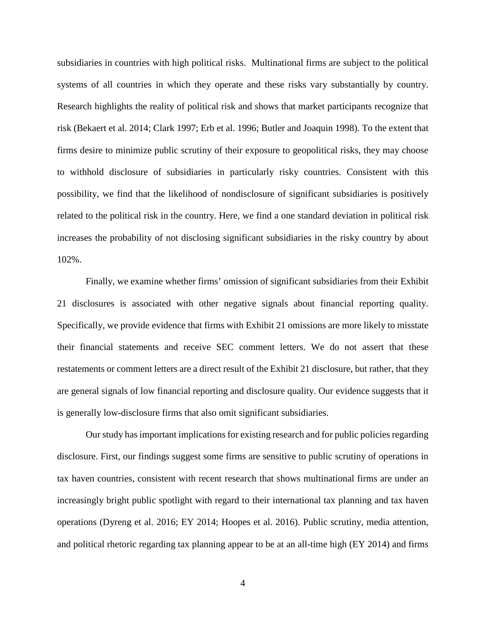subsidiaries in countries with high political risks. Multinational firms are subject to the political systems of all countries in which they operate and these risks vary substantially by country. Research highlights the reality of political risk and shows that market participants recognize that risk (Bekaert et al. 2014; Clark 1997; Erb et al. 1996; Butler and Joaquin 1998). To the extent that firms desire to minimize public scrutiny of their exposure to geopolitical risks, they may choose to withhold disclosure of subsidiaries in particularly risky countries. Consistent with this possibility, we find that the likelihood of nondisclosure of significant subsidiaries is positively related to the political risk in the country. Here, we find a one standard deviation in political risk increases the probability of not disclosing significant subsidiaries in the risky country by about 102%.

Finally, we examine whether firms' omission of significant subsidiaries from their Exhibit 21 disclosures is associated with other negative signals about financial reporting quality. Specifically, we provide evidence that firms with Exhibit 21 omissions are more likely to misstate their financial statements and receive SEC comment letters. We do not assert that these restatements or comment letters are a direct result of the Exhibit 21 disclosure, but rather, that they are general signals of low financial reporting and disclosure quality. Our evidence suggests that it is generally low-disclosure firms that also omit significant subsidiaries.

Our study has important implications for existing research and for public policies regarding disclosure. First, our findings suggest some firms are sensitive to public scrutiny of operations in tax haven countries, consistent with recent research that shows multinational firms are under an increasingly bright public spotlight with regard to their international tax planning and tax haven operations (Dyreng et al. 2016; EY 2014; Hoopes et al. 2016). Public scrutiny, media attention, and political rhetoric regarding tax planning appear to be at an all-time high (EY 2014) and firms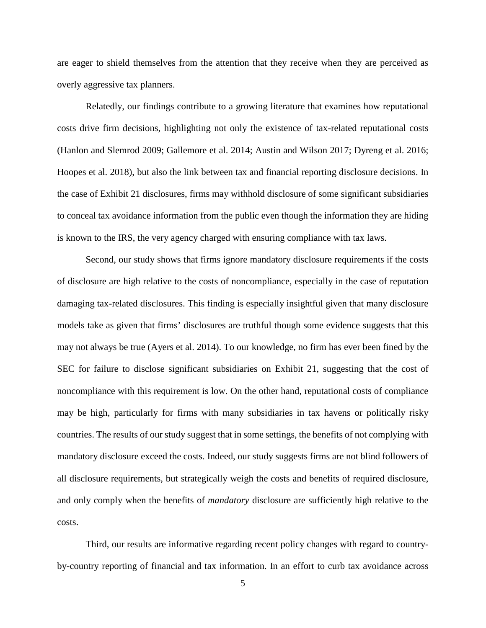are eager to shield themselves from the attention that they receive when they are perceived as overly aggressive tax planners.

Relatedly, our findings contribute to a growing literature that examines how reputational costs drive firm decisions, highlighting not only the existence of tax-related reputational costs (Hanlon and Slemrod 2009; Gallemore et al. 2014; Austin and Wilson 2017; Dyreng et al. 2016; Hoopes et al. 2018), but also the link between tax and financial reporting disclosure decisions. In the case of Exhibit 21 disclosures, firms may withhold disclosure of some significant subsidiaries to conceal tax avoidance information from the public even though the information they are hiding is known to the IRS, the very agency charged with ensuring compliance with tax laws.

Second, our study shows that firms ignore mandatory disclosure requirements if the costs of disclosure are high relative to the costs of noncompliance, especially in the case of reputation damaging tax-related disclosures. This finding is especially insightful given that many disclosure models take as given that firms' disclosures are truthful though some evidence suggests that this may not always be true (Ayers et al. 2014). To our knowledge, no firm has ever been fined by the SEC for failure to disclose significant subsidiaries on Exhibit 21, suggesting that the cost of noncompliance with this requirement is low. On the other hand, reputational costs of compliance may be high, particularly for firms with many subsidiaries in tax havens or politically risky countries. The results of our study suggest that in some settings, the benefits of not complying with mandatory disclosure exceed the costs. Indeed, our study suggests firms are not blind followers of all disclosure requirements, but strategically weigh the costs and benefits of required disclosure, and only comply when the benefits of *mandatory* disclosure are sufficiently high relative to the costs.

Third, our results are informative regarding recent policy changes with regard to countryby-country reporting of financial and tax information. In an effort to curb tax avoidance across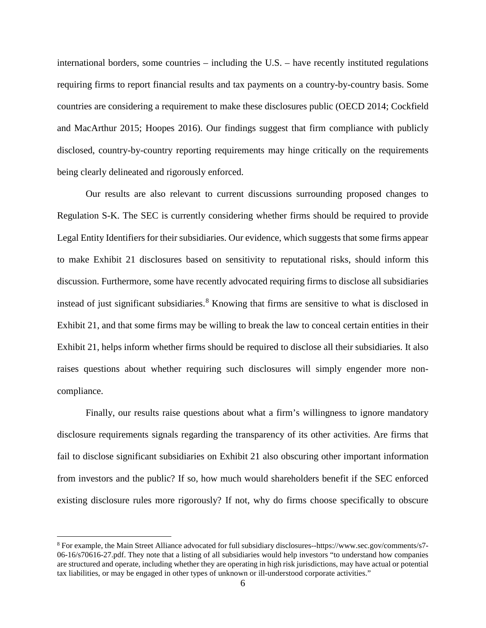international borders, some countries – including the U.S. – have recently instituted regulations requiring firms to report financial results and tax payments on a country-by-country basis. Some countries are considering a requirement to make these disclosures public (OECD 2014; Cockfield and MacArthur 2015; Hoopes 2016). Our findings suggest that firm compliance with publicly disclosed, country-by-country reporting requirements may hinge critically on the requirements being clearly delineated and rigorously enforced.

Our results are also relevant to current discussions surrounding proposed changes to Regulation S-K. The SEC is currently considering whether firms should be required to provide Legal Entity Identifiers for their subsidiaries. Our evidence, which suggests that some firms appear to make Exhibit 21 disclosures based on sensitivity to reputational risks, should inform this discussion. Furthermore, some have recently advocated requiring firms to disclose all subsidiaries instead of just significant subsidiaries. [8](#page-6-0) Knowing that firms are sensitive to what is disclosed in Exhibit 21, and that some firms may be willing to break the law to conceal certain entities in their Exhibit 21, helps inform whether firms should be required to disclose all their subsidiaries. It also raises questions about whether requiring such disclosures will simply engender more noncompliance.

Finally, our results raise questions about what a firm's willingness to ignore mandatory disclosure requirements signals regarding the transparency of its other activities. Are firms that fail to disclose significant subsidiaries on Exhibit 21 also obscuring other important information from investors and the public? If so, how much would shareholders benefit if the SEC enforced existing disclosure rules more rigorously? If not, why do firms choose specifically to obscure

<span id="page-6-0"></span> <sup>8</sup> For example, the Main Street Alliance advocated for full subsidiary disclosures--https://www.sec.gov/comments/s7- 06-16/s70616-27.pdf. They note that a listing of all subsidiaries would help investors "to understand how companies are structured and operate, including whether they are operating in high risk jurisdictions, may have actual or potential tax liabilities, or may be engaged in other types of unknown or ill-understood corporate activities."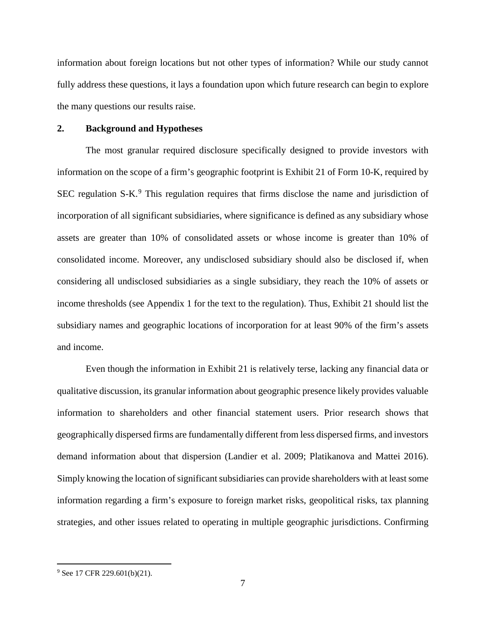information about foreign locations but not other types of information? While our study cannot fully address these questions, it lays a foundation upon which future research can begin to explore the many questions our results raise.

## **2. Background and Hypotheses**

The most granular required disclosure specifically designed to provide investors with information on the scope of a firm's geographic footprint is Exhibit 21 of Form 10-K, required by SEC regulation  $S-K<sup>9</sup>$  $S-K<sup>9</sup>$  $S-K<sup>9</sup>$ . This regulation requires that firms disclose the name and jurisdiction of incorporation of all significant subsidiaries, where significance is defined as any subsidiary whose assets are greater than 10% of consolidated assets or whose income is greater than 10% of consolidated income. Moreover, any undisclosed subsidiary should also be disclosed if, when considering all undisclosed subsidiaries as a single subsidiary, they reach the 10% of assets or income thresholds (see Appendix 1 for the text to the regulation). Thus, Exhibit 21 should list the subsidiary names and geographic locations of incorporation for at least 90% of the firm's assets and income.

Even though the information in Exhibit 21 is relatively terse, lacking any financial data or qualitative discussion, its granular information about geographic presence likely provides valuable information to shareholders and other financial statement users. Prior research shows that geographically dispersed firms are fundamentally different from less dispersed firms, and investors demand information about that dispersion (Landier et al. 2009; Platikanova and Mattei 2016). Simply knowing the location of significant subsidiaries can provide shareholders with at least some information regarding a firm's exposure to foreign market risks, geopolitical risks, tax planning strategies, and other issues related to operating in multiple geographic jurisdictions. Confirming

<span id="page-7-0"></span><sup>&</sup>lt;sup>9</sup> See 17 CFR 229.601(b)(21).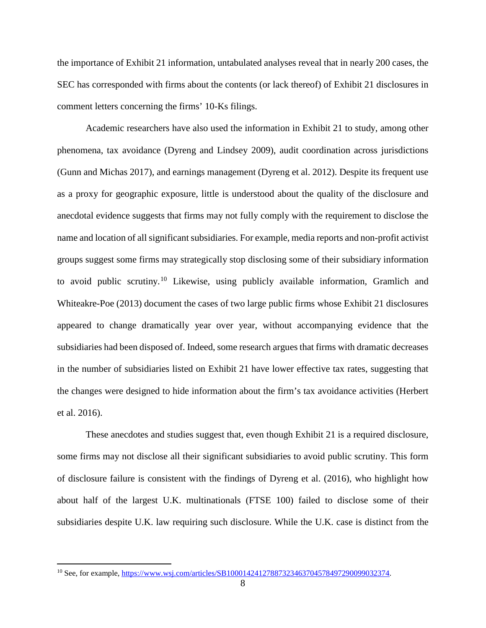the importance of Exhibit 21 information, untabulated analyses reveal that in nearly 200 cases, the SEC has corresponded with firms about the contents (or lack thereof) of Exhibit 21 disclosures in comment letters concerning the firms' 10-Ks filings.

Academic researchers have also used the information in Exhibit 21 to study, among other phenomena, tax avoidance (Dyreng and Lindsey 2009), audit coordination across jurisdictions (Gunn and Michas 2017), and earnings management (Dyreng et al. 2012). Despite its frequent use as a proxy for geographic exposure, little is understood about the quality of the disclosure and anecdotal evidence suggests that firms may not fully comply with the requirement to disclose the name and location of all significant subsidiaries. For example, media reports and non-profit activist groups suggest some firms may strategically stop disclosing some of their subsidiary information to avoid public scrutiny.[10](#page-8-0) Likewise, using publicly available information, Gramlich and Whiteakre-Poe (2013) document the cases of two large public firms whose Exhibit 21 disclosures appeared to change dramatically year over year, without accompanying evidence that the subsidiaries had been disposed of. Indeed, some research argues that firms with dramatic decreases in the number of subsidiaries listed on Exhibit 21 have lower effective tax rates, suggesting that the changes were designed to hide information about the firm's tax avoidance activities (Herbert et al. 2016).

These anecdotes and studies suggest that, even though Exhibit 21 is a required disclosure, some firms may not disclose all their significant subsidiaries to avoid public scrutiny. This form of disclosure failure is consistent with the findings of Dyreng et al. (2016), who highlight how about half of the largest U.K. multinationals (FTSE 100) failed to disclose some of their subsidiaries despite U.K. law requiring such disclosure. While the U.K. case is distinct from the

<span id="page-8-0"></span><sup>&</sup>lt;sup>10</sup> See, for example, [https://www.wsj.com/articles/SB10001424127887323463704578497290099032374.](https://www.wsj.com/articles/SB10001424127887323463704578497290099032374)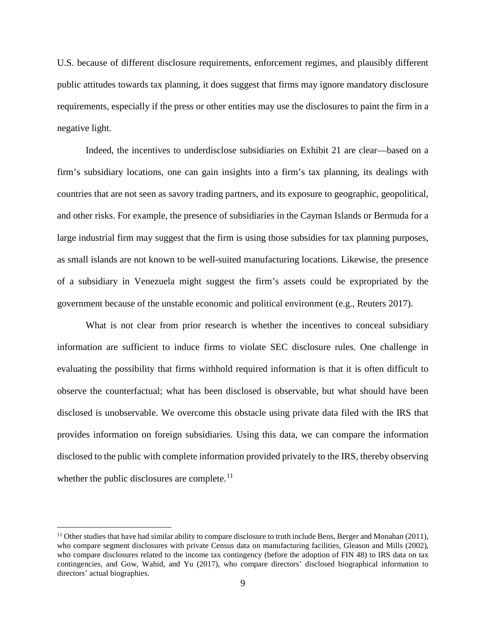U.S. because of different disclosure requirements, enforcement regimes, and plausibly different public attitudes towards tax planning, it does suggest that firms may ignore mandatory disclosure requirements, especially if the press or other entities may use the disclosures to paint the firm in a negative light.

Indeed, the incentives to underdisclose subsidiaries on Exhibit 21 are clear—based on a firm's subsidiary locations, one can gain insights into a firm's tax planning, its dealings with countries that are not seen as savory trading partners, and its exposure to geographic, geopolitical, and other risks. For example, the presence of subsidiaries in the Cayman Islands or Bermuda for a large industrial firm may suggest that the firm is using those subsidies for tax planning purposes, as small islands are not known to be well-suited manufacturing locations. Likewise, the presence of a subsidiary in Venezuela might suggest the firm's assets could be expropriated by the government because of the unstable economic and political environment (e.g., Reuters 2017).

What is not clear from prior research is whether the incentives to conceal subsidiary information are sufficient to induce firms to violate SEC disclosure rules. One challenge in evaluating the possibility that firms withhold required information is that it is often difficult to observe the counterfactual; what has been disclosed is observable, but what should have been disclosed is unobservable. We overcome this obstacle using private data filed with the IRS that provides information on foreign subsidiaries. Using this data, we can compare the information disclosed to the public with complete information provided privately to the IRS, thereby observing whether the public disclosures are complete. $^{11}$  $^{11}$  $^{11}$ 

<span id="page-9-0"></span><sup>&</sup>lt;sup>11</sup> Other studies that have had similar ability to compare disclosure to truth include Bens, Berger and Monahan (2011), who compare segment disclosures with private Census data on manufacturing facilities, Gleason and Mills (2002), who compare disclosures related to the income tax contingency (before the adoption of FIN 48) to IRS data on tax contingencies, and Gow, Wahid, and Yu (2017), who compare directors' disclosed biographical information to directors' actual biographies.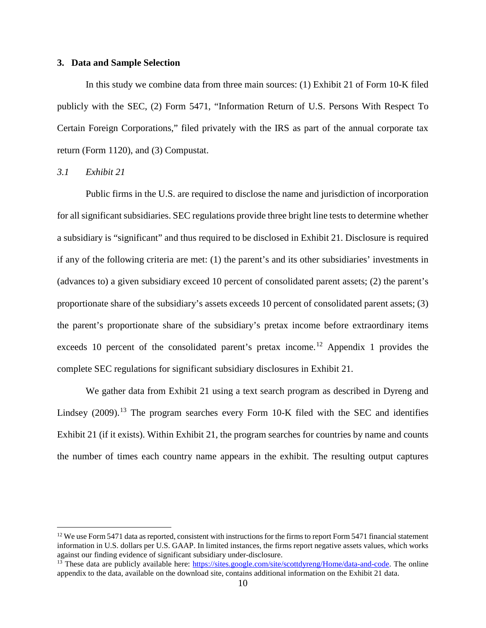#### **3. Data and Sample Selection**

In this study we combine data from three main sources: (1) Exhibit 21 of Form 10-K filed publicly with the SEC, (2) Form 5471, "Information Return of U.S. Persons With Respect To Certain Foreign Corporations," filed privately with the IRS as part of the annual corporate tax return (Form 1120), and (3) Compustat.

*3.1 Exhibit 21*

Public firms in the U.S. are required to disclose the name and jurisdiction of incorporation for all significant subsidiaries. SEC regulations provide three bright line tests to determine whether a subsidiary is "significant" and thus required to be disclosed in Exhibit 21. Disclosure is required if any of the following criteria are met: (1) the parent's and its other subsidiaries' investments in (advances to) a given subsidiary exceed 10 percent of consolidated parent assets; (2) the parent's proportionate share of the subsidiary's assets exceeds 10 percent of consolidated parent assets; (3) the parent's proportionate share of the subsidiary's pretax income before extraordinary items exceeds 10 percent of the consolidated parent's pretax income.<sup>[12](#page-10-0)</sup> Appendix 1 provides the complete SEC regulations for significant subsidiary disclosures in Exhibit 21.

We gather data from Exhibit 21 using a text search program as described in Dyreng and Lindsey  $(2009)$ .<sup>[13](#page-10-1)</sup> The program searches every Form 10-K filed with the SEC and identifies Exhibit 21 (if it exists). Within Exhibit 21, the program searches for countries by name and counts the number of times each country name appears in the exhibit. The resulting output captures

<span id="page-10-1"></span><span id="page-10-0"></span><sup>&</sup>lt;sup>12</sup> We use Form 5471 data as reported, consistent with instructions for the firms to report Form 5471 financial statement information in U.S. dollars per U.S. GAAP. In limited instances, the firms report negative assets values, which works against our finding evidence of significant subsidiary under-disclosure.

<span id="page-10-2"></span><sup>&</sup>lt;sup>13</sup> These data are publicly available here: [https://sites.google.com/site/scottdyreng/Home/data-and-code.](https://sites.google.com/site/scottdyreng/Home/data-and-code) The online appendix to the data, available on the download site, contains additional information on the Exhibit 21 data.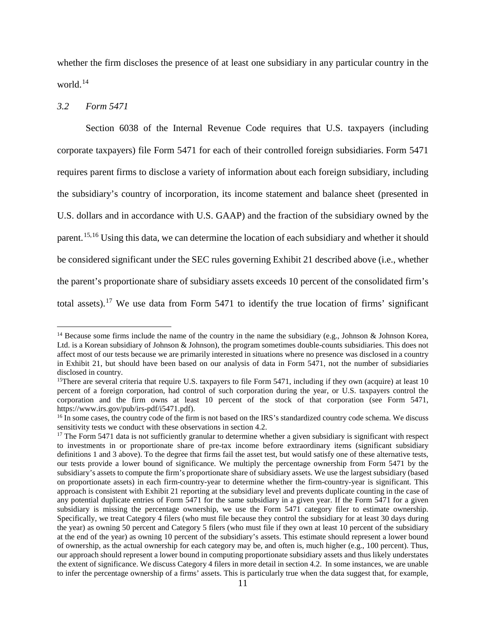whether the firm discloses the presence of at least one subsidiary in any particular country in the world. [14](#page-10-2)

#### *3.2 Form 5471*

Section 6038 of the Internal Revenue Code requires that U.S. taxpayers (including corporate taxpayers) file Form 5471 for each of their controlled foreign subsidiaries. Form 5471 requires parent firms to disclose a variety of information about each foreign subsidiary, including the subsidiary's country of incorporation, its income statement and balance sheet (presented in U.S. dollars and in accordance with U.S. GAAP) and the fraction of the subsidiary owned by the parent.<sup>[15,](#page-11-0)[16](#page-11-1)</sup> Using this data, we can determine the location of each subsidiary and whether it should be considered significant under the SEC rules governing Exhibit 21 described above (i.e., whether the parent's proportionate share of subsidiary assets exceeds 10 percent of the consolidated firm's total assets).<sup>[17](#page-11-2)</sup> We use data from Form 5471 to identify the true location of firms' significant

<sup>&</sup>lt;sup>14</sup> Because some firms include the name of the country in the name the subsidiary (e.g., Johnson & Johnson Korea, Ltd. is a Korean subsidiary of Johnson & Johnson), the program sometimes double-counts subsidiaries. This does not affect most of our tests because we are primarily interested in situations where no presence was disclosed in a country in Exhibit 21, but should have been based on our analysis of data in Form 5471, not the number of subsidiaries disclosed in country.

<span id="page-11-0"></span><sup>&</sup>lt;sup>15</sup>There are several criteria that require U.S. taxpayers to file Form 5471, including if they own (acquire) at least 10 percent of a foreign corporation, had control of such corporation during the year, or U.S. taxpayers control the corporation and the firm owns at least 10 percent of the stock of that corporation (see Form 5471, https://www.irs.gov/pub/irs-pdf/i5471.pdf).<br><sup>16</sup> In some cases, the country code of the firm is not based on the IRS's standardized country code schema. We discuss

<span id="page-11-1"></span>sensitivity tests we conduct with these observations in section 4.2.

<span id="page-11-2"></span> $17$  The Form 5471 data is not sufficiently granular to determine whether a given subsidiary is significant with respect to investments in or proportionate share of pre-tax income before extraordinary items (significant subsidiary definitions 1 and 3 above). To the degree that firms fail the asset test, but would satisfy one of these alternative tests, our tests provide a lower bound of significance. We multiply the percentage ownership from Form 5471 by the subsidiary's assets to compute the firm's proportionate share of subsidiary assets. We use the largest subsidiary (based on proportionate assets) in each firm-country-year to determine whether the firm-country-year is significant. This approach is consistent with Exhibit 21 reporting at the subsidiary level and prevents duplicate counting in the case of any potential duplicate entries of Form 5471 for the same subsidiary in a given year. If the Form 5471 for a given subsidiary is missing the percentage ownership, we use the Form 5471 category filer to estimate ownership. Specifically, we treat Category 4 filers (who must file because they control the subsidiary for at least 30 days during the year) as owning 50 percent and Category 5 filers (who must file if they own at least 10 percent of the subsidiary at the end of the year) as owning 10 percent of the subsidiary's assets. This estimate should represent a lower bound of ownership, as the actual ownership for each category may be, and often is, much higher (e.g., 100 percent). Thus, our approach should represent a lower bound in computing proportionate subsidiary assets and thus likely understates the extent of significance. We discuss Category 4 filers in more detail in section 4.2. In some instances, we are unable to infer the percentage ownership of a firms' assets. This is particularly true when the data suggest that, for example,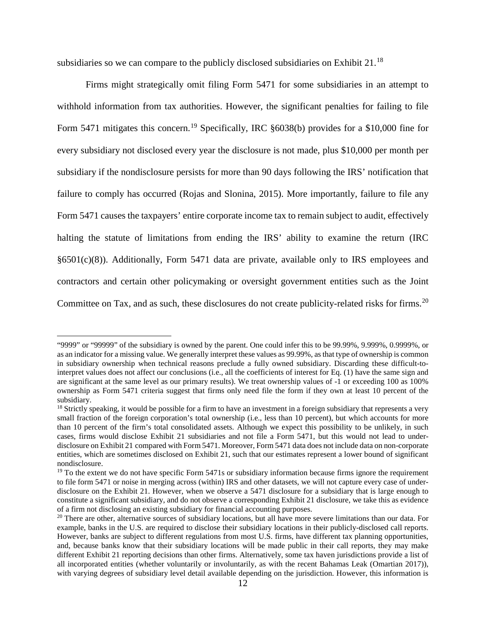subsidiaries so we can compare to the publicly disclosed subsidiaries on Exhibit 21.<sup>[18](#page-12-0)</sup>

Firms might strategically omit filing Form 5471 for some subsidiaries in an attempt to withhold information from tax authorities. However, the significant penalties for failing to file Form 5471 mitigates this concern.<sup>[19](#page-12-1)</sup> Specifically, IRC §6038(b) provides for a \$10,000 fine for every subsidiary not disclosed every year the disclosure is not made, plus \$10,000 per month per subsidiary if the nondisclosure persists for more than 90 days following the IRS' notification that failure to comply has occurred (Rojas and Slonina, 2015). More importantly, failure to file any Form 5471 causes the taxpayers' entire corporate income tax to remain subject to audit, effectively halting the statute of limitations from ending the IRS' ability to examine the return (IRC §6501(c)(8)). Additionally, Form 5471 data are private, available only to IRS employees and contractors and certain other policymaking or oversight government entities such as the Joint Committee on Tax, and as such, these disclosures do not create publicity-related risks for firms.<sup>[20](#page-12-2)</sup>

 <sup>&</sup>quot;9999" or "99999" of the subsidiary is owned by the parent. One could infer this to be 99.99%, 9.999%, 0.9999%, or as an indicator for a missing value. We generally interpret these values as 99.99%, as that type of ownership is common in subsidiary ownership when technical reasons preclude a fully owned subsidiary. Discarding these difficult-tointerpret values does not affect our conclusions (i.e., all the coefficients of interest for Eq. (1) have the same sign and are significant at the same level as our primary results). We treat ownership values of -1 or exceeding 100 as 100% ownership as Form 5471 criteria suggest that firms only need file the form if they own at least 10 percent of the subsidiary.

<span id="page-12-0"></span><sup>&</sup>lt;sup>18</sup> Strictly speaking, it would be possible for a firm to have an investment in a foreign subsidiary that represents a very small fraction of the foreign corporation's total ownership (i.e., less than 10 percent), but which accounts for more than 10 percent of the firm's total consolidated assets. Although we expect this possibility to be unlikely, in such cases, firms would disclose Exhibit 21 subsidiaries and not file a Form 5471, but this would not lead to underdisclosure on Exhibit 21 compared with Form 5471. Moreover, Form 5471 data does not include data on non-corporate entities, which are sometimes disclosed on Exhibit 21, such that our estimates represent a lower bound of significant nondisclosure.

<span id="page-12-1"></span> $19$  To the extent we do not have specific Form 5471s or subsidiary information because firms ignore the requirement to file form 5471 or noise in merging across (within) IRS and other datasets, we will not capture every case of underdisclosure on the Exhibit 21. However, when we observe a 5471 disclosure for a subsidiary that is large enough to constitute a significant subsidiary, and do not observe a corresponding Exhibit 21 disclosure, we take this as evidence of a firm not disclosing an existing subsidiary for financial accounting purposes.

<span id="page-12-2"></span> $20$  There are other, alternative sources of subsidiary locations, but all have more severe limitations than our data. For example, banks in the U.S. are required to disclose their subsidiary locations in their publicly-disclosed call reports. However, banks are subject to different regulations from most U.S. firms, have different tax planning opportunities, and, because banks know that their subsidiary locations will be made public in their call reports, they may make different Exhibit 21 reporting decisions than other firms. Alternatively, some tax haven jurisdictions provide a list of all incorporated entities (whether voluntarily or involuntarily, as with the recent Bahamas Leak (Omartian 2017)), with varying degrees of subsidiary level detail available depending on the jurisdiction. However, this information is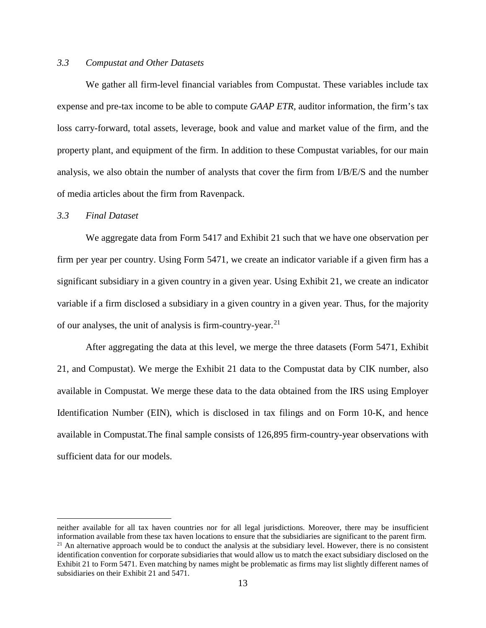# <span id="page-13-1"></span>*3.3 Compustat and Other Datasets*

We gather all firm-level financial variables from Compustat. These variables include tax expense and pre-tax income to be able to compute *GAAP ETR,* auditor information, the firm's tax loss carry-forward, total assets, leverage, book and value and market value of the firm, and the property plant, and equipment of the firm. In addition to these Compustat variables, for our main analysis, we also obtain the number of analysts that cover the firm from I/B/E/S and the number of media articles about the firm from Ravenpack.

#### *3.3 Final Dataset*

We aggregate data from Form 5417 and Exhibit 21 such that we have one observation per firm per year per country. Using Form 5471, we create an indicator variable if a given firm has a significant subsidiary in a given country in a given year. Using Exhibit 21, we create an indicator variable if a firm disclosed a subsidiary in a given country in a given year. Thus, for the majority of our analyses, the unit of analysis is firm-country-year.<sup>[21](#page-13-0)</sup>

After aggregating the data at this level, we merge the three datasets (Form 5471, Exhibit 21, and Compustat). We merge the Exhibit 21 data to the Compustat data by CIK number, also available in Compustat. We merge these data to the data obtained from the IRS using Employer Identification Number (EIN), which is disclosed in tax filings and on Form 10-K, and hence available in Compustat.The final sample consists of [12](#page-13-1)6,895 firm-country-year observations with sufficient data for our models.

<span id="page-13-0"></span>neither available for all tax haven countries nor for all legal jurisdictions. Moreover, there may be insufficient information available from these tax haven locations to ensure that the subsidiaries are significant to the parent firm.  $21$  An alternative approach would be to conduct the analysis at the subsidiary level. However, there is no consistent identification convention for corporate subsidiaries that would allow us to match the exact subsidiary disclosed on the Exhibit 21 to Form 5471. Even matching by names might be problematic as firms may list slightly different names of subsidiaries on their Exhibit 21 and 5471.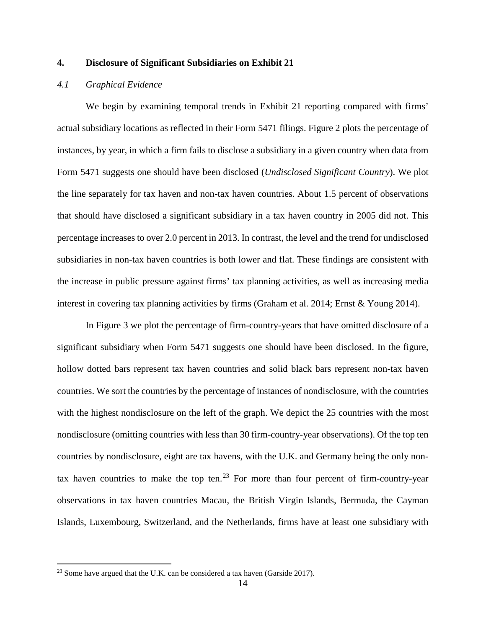## **4. Disclosure of Significant Subsidiaries on Exhibit 21**

# *4.1 Graphical Evidence*

We begin by examining temporal trends in Exhibit 21 reporting compared with firms' actual subsidiary locations as reflected in their Form 5471 filings. Figure 2 plots the percentage of instances, by year, in which a firm fails to disclose a subsidiary in a given country when data from Form 5471 suggests one should have been disclosed (*Undisclosed Significant Country*). We plot the line separately for tax haven and non-tax haven countries. About 1.5 percent of observations that should have disclosed a significant subsidiary in a tax haven country in 2005 did not. This percentage increases to over 2.0 percent in 2013. In contrast, the level and the trend for undisclosed subsidiaries in non-tax haven countries is both lower and flat. These findings are consistent with the increase in public pressure against firms' tax planning activities, as well as increasing media interest in covering tax planning activities by firms (Graham et al. 2014; Ernst & Young 2014).

In Figure 3 we plot the percentage of firm-country-years that have omitted disclosure of a significant subsidiary when Form 5471 suggests one should have been disclosed. In the figure, hollow dotted bars represent tax haven countries and solid black bars represent non-tax haven countries. We sort the countries by the percentage of instances of nondisclosure, with the countries with the highest nondisclosure on the left of the graph. We depict the 25 countries with the most nondisclosure (omitting countries with less than 30 firm-country-year observations). Of the top ten countries by nondisclosure, eight are tax havens, with the U.K. and Germany being the only non-tax haven countries to make the top ten.<sup>[23](#page-14-0)</sup> For more than four percent of firm-country-year observations in tax haven countries Macau, the British Virgin Islands, Bermuda, the Cayman Islands, Luxembourg, Switzerland, and the Netherlands, firms have at least one subsidiary with

<span id="page-14-0"></span><sup>&</sup>lt;sup>23</sup> Some have argued that the U.K. can be considered a tax haven (Garside 2017).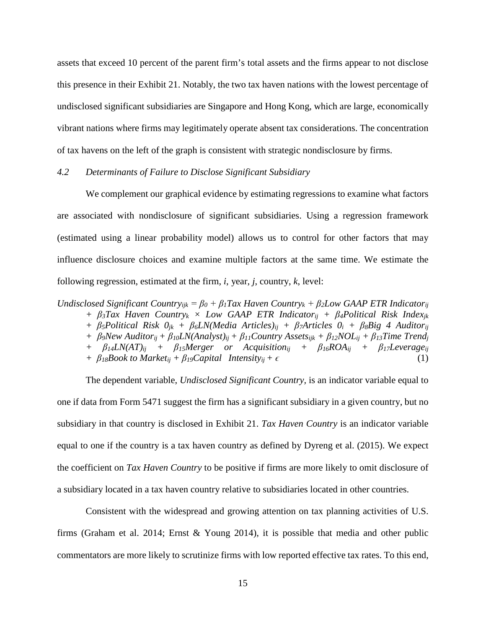assets that exceed 10 percent of the parent firm's total assets and the firms appear to not disclose this presence in their Exhibit 21. Notably, the two tax haven nations with the lowest percentage of undisclosed significant subsidiaries are Singapore and Hong Kong, which are large, economically vibrant nations where firms may legitimately operate absent tax considerations. The concentration of tax havens on the left of the graph is consistent with strategic nondisclosure by firms.

## *4.2 Determinants of Failure to Disclose Significant Subsidiary*

We complement our graphical evidence by estimating regressions to examine what factors are associated with nondisclosure of significant subsidiaries. Using a regression framework (estimated using a linear probability model) allows us to control for other factors that may influence disclosure choices and examine multiple factors at the same time. We estimate the following regression, estimated at the firm, *i*, year, *j*, country, *k*, level:

*Undisclosed Significant Countryijk = β<sup>0</sup> + β1Tax Haven Countryk + β2Low GAAP ETR Indicatorij + β3Tax Haven Countryk × Low GAAP ETR Indicatorij + β4Political Risk Indexjk + β5Political Risk 0jk + β6LN(Media Articles)ij + β7Articles 0i + β8Big 4 Auditorij* 

*+ β9New Auditorij + β10LN(Analyst)ij + β11Country Assetsijk + β12NOLij + β13Time Trendj + β14LN(AT)ij + β15Merger or Acquisitionij + β16ROAij + β17Leverageij*

*+*  $\beta_{18}Book$  *to Market<sub>ij</sub> +*  $\beta_{19}Capital$  *Intensity<sub>ij</sub>* +  $\epsilon$  (1)

The dependent variable, *Undisclosed Significant Country,* is an indicator variable equal to one if data from Form 5471 suggest the firm has a significant subsidiary in a given country, but no subsidiary in that country is disclosed in Exhibit 21. *Tax Haven Country* is an indicator variable equal to one if the country is a tax haven country as defined by Dyreng et al. (2015). We expect the coefficient on *Tax Haven Country* to be positive if firms are more likely to omit disclosure of a subsidiary located in a tax haven country relative to subsidiaries located in other countries.

Consistent with the widespread and growing attention on tax planning activities of U.S. firms (Graham et al. 2014; Ernst & Young 2014), it is possible that media and other public commentators are more likely to scrutinize firms with low reported effective tax rates. To this end,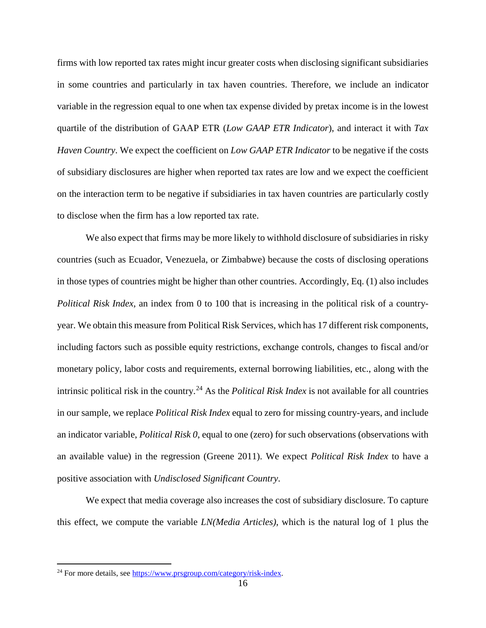firms with low reported tax rates might incur greater costs when disclosing significant subsidiaries in some countries and particularly in tax haven countries. Therefore, we include an indicator variable in the regression equal to one when tax expense divided by pretax income is in the lowest quartile of the distribution of GAAP ETR (*Low GAAP ETR Indicator*), and interact it with *Tax Haven Country*. We expect the coefficient on *Low GAAP ETR Indicator* to be negative if the costs of subsidiary disclosures are higher when reported tax rates are low and we expect the coefficient on the interaction term to be negative if subsidiaries in tax haven countries are particularly costly to disclose when the firm has a low reported tax rate.

We also expect that firms may be more likely to withhold disclosure of subsidiaries in risky countries (such as Ecuador, Venezuela, or Zimbabwe) because the costs of disclosing operations in those types of countries might be higher than other countries. Accordingly, Eq. (1) also includes *Political Risk Index*, an index from 0 to 100 that is increasing in the political risk of a countryyear. We obtain this measure from Political Risk Services, which has 17 different risk components, including factors such as possible equity restrictions, exchange controls, changes to fiscal and/or monetary policy, labor costs and requirements, external borrowing liabilities, etc., along with the intrinsic political risk in the country.[24](#page-16-0) As the *Political Risk Index* is not available for all countries in our sample, we replace *Political Risk Index* equal to zero for missing country-years, and include an indicator variable, *Political Risk 0*, equal to one (zero) for such observations (observations with an available value) in the regression (Greene 2011). We expect *Political Risk Index* to have a positive association with *Undisclosed Significant Country*.

We expect that media coverage also increases the cost of subsidiary disclosure. To capture this effect, we compute the variable *LN(Media Articles)*, which is the natural log of 1 plus the

<span id="page-16-0"></span><sup>&</sup>lt;sup>24</sup> For more details, see https://www.prsgroup.com/category/risk-index.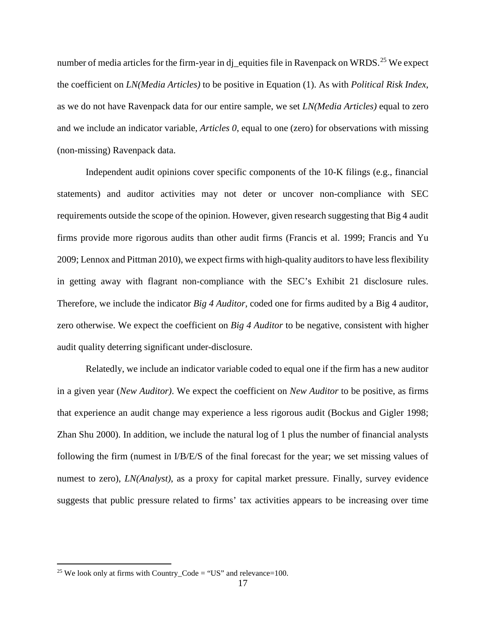number of media articles for the firm-year in dj\_equities file in Ravenpack on WRDS.<sup>[25](#page-17-0)</sup> We expect the coefficient on *LN(Media Articles)* to be positive in Equation (1). As with *Political Risk Index*, as we do not have Ravenpack data for our entire sample, we set *LN(Media Articles)* equal to zero and we include an indicator variable, *Articles 0*, equal to one (zero) for observations with missing (non-missing) Ravenpack data.

Independent audit opinions cover specific components of the 10-K filings (e.g., financial statements) and auditor activities may not deter or uncover non-compliance with SEC requirements outside the scope of the opinion. However, given research suggesting that Big 4 audit firms provide more rigorous audits than other audit firms (Francis et al. 1999; Francis and Yu 2009; Lennox and Pittman 2010), we expect firms with high-quality auditors to have less flexibility in getting away with flagrant non-compliance with the SEC's Exhibit 21 disclosure rules. Therefore, we include the indicator *Big 4 Auditor,* coded one for firms audited by a Big 4 auditor, zero otherwise. We expect the coefficient on *Big 4 Auditor* to be negative, consistent with higher audit quality deterring significant under-disclosure.

Relatedly, we include an indicator variable coded to equal one if the firm has a new auditor in a given year (*New Auditor)*. We expect the coefficient on *New Auditor* to be positive, as firms that experience an audit change may experience a less rigorous audit (Bockus and Gigler 1998; Zhan Shu 2000). In addition, we include the natural log of 1 plus the number of financial analysts following the firm (numest in I/B/E/S of the final forecast for the year; we set missing values of numest to zero), *LN(Analyst)*, as a proxy for capital market pressure. Finally, survey evidence suggests that public pressure related to firms' tax activities appears to be increasing over time

<span id="page-17-0"></span><sup>&</sup>lt;sup>25</sup> We look only at firms with Country Code = "US" and relevance=100.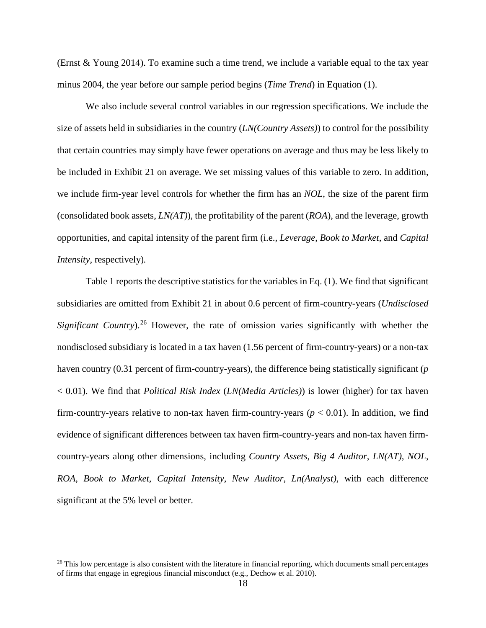(Ernst & Young 2014). To examine such a time trend, we include a variable equal to the tax year minus 2004, the year before our sample period begins (*Time Trend*) in Equation (1).

We also include several control variables in our regression specifications. We include the size of assets held in subsidiaries in the country (*LN(Country Assets)*) to control for the possibility that certain countries may simply have fewer operations on average and thus may be less likely to be included in Exhibit 21 on average. We set missing values of this variable to zero. In addition, we include firm-year level controls for whether the firm has an *NOL*, the size of the parent firm (consolidated book assets, *LN(AT)*), the profitability of the parent (*ROA*), and the leverage, growth opportunities, and capital intensity of the parent firm (i.e., *Leverage*, *Book to Market*, and *Capital Intensity,* respectively)*.*

Table 1 reports the descriptive statistics for the variables in Eq. (1). We find that significant subsidiaries are omitted from Exhibit 21 in about 0.6 percent of firm-country-years (*Undisclosed Significant Country*).<sup>[26](#page-18-0)</sup> However, the rate of omission varies significantly with whether the nondisclosed subsidiary is located in a tax haven (1.56 percent of firm-country-years) or a non-tax haven country (0.31 percent of firm-country-years), the difference being statistically significant (*p* < 0.01). We find that *Political Risk Index* (*LN(Media Articles)*) is lower (higher) for tax haven firm-country-years relative to non-tax haven firm-country-years  $(p < 0.01)$ . In addition, we find evidence of significant differences between tax haven firm-country-years and non-tax haven firmcountry-years along other dimensions, including *Country Assets*, *Big 4 Auditor*, *LN(AT)*, *NOL*, *ROA*, *Book to Market*, *Capital Intensity*, *New Auditor*, *Ln(Analyst)*, with each difference significant at the 5% level or better.

<span id="page-18-0"></span> $26$  This low percentage is also consistent with the literature in financial reporting, which documents small percentages of firms that engage in egregious financial misconduct (e.g., Dechow et al. 2010).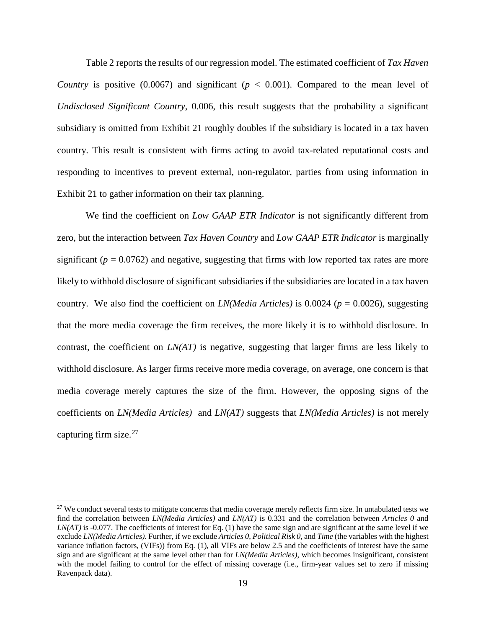Table 2 reports the results of our regression model. The estimated coefficient of *Tax Haven Country* is positive (0.0067) and significant ( $p < 0.001$ ). Compared to the mean level of *Undisclosed Significant Country*, 0.006, this result suggests that the probability a significant subsidiary is omitted from Exhibit 21 roughly doubles if the subsidiary is located in a tax haven country. This result is consistent with firms acting to avoid tax-related reputational costs and responding to incentives to prevent external, non-regulator, parties from using information in Exhibit 21 to gather information on their tax planning.

We find the coefficient on *Low GAAP ETR Indicator* is not significantly different from zero, but the interaction between *Tax Haven Country* and *Low GAAP ETR Indicator* is marginally significant  $(p = 0.0762)$  and negative, suggesting that firms with low reported tax rates are more likely to withhold disclosure of significant subsidiaries if the subsidiaries are located in a tax haven country. We also find the coefficient on *LN(Media Articles)* is 0.0024 ( $p = 0.0026$ ), suggesting that the more media coverage the firm receives, the more likely it is to withhold disclosure. In contrast, the coefficient on *LN(AT)* is negative, suggesting that larger firms are less likely to withhold disclosure. As larger firms receive more media coverage, on average, one concern is that media coverage merely captures the size of the firm. However, the opposing signs of the coefficients on *LN(Media Articles)* and *LN(AT)* suggests that *LN(Media Articles)* is not merely capturing firm size. $27$ 

<span id="page-19-0"></span><sup>&</sup>lt;sup>27</sup> We conduct several tests to mitigate concerns that media coverage merely reflects firm size. In untabulated tests we find the correlation between *LN(Media Articles)* and *LN(AT)* is 0.331 and the correlation between *Articles 0* and *LN(AT)* is -0.077. The coefficients of interest for Eq. (1) have the same sign and are significant at the same level if we exclude *LN(Media Articles)*. Further, if we exclude *Articles 0*, *Political Risk 0*, and *Time* (the variables with the highest variance inflation factors, (VIFs)) from Eq. (1), all VIFs are below 2.5 and the coefficients of interest have the same sign and are significant at the same level other than for *LN(Media Articles)*, which becomes insignificant, consistent with the model failing to control for the effect of missing coverage (i.e., firm-year values set to zero if missing Ravenpack data).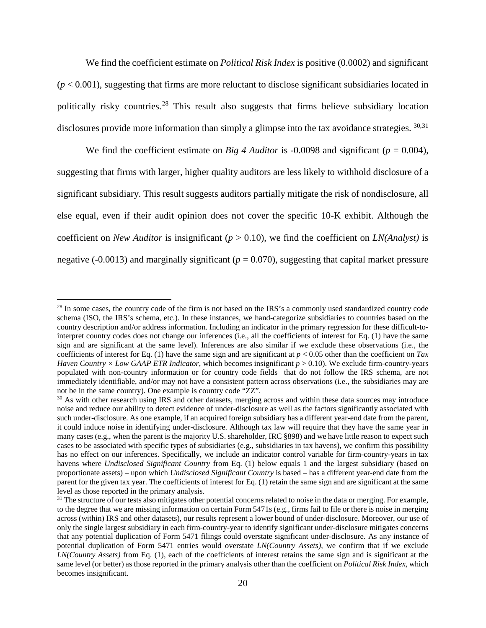We find the coefficient estimate on *Political Risk Index* is positive (0.0002) and significant  $(p < 0.001)$ , suggesting that firms are more reluctant to disclose significant subsidiaries located in politically risky countries.<sup>[28](#page-20-0)</sup> This result also suggests that firms believe subsidiary location disclosures provide more information than simply a glimpse into the tax avoidance strategies. [30,](#page-20-1)[31](#page-20-2)

We find the coefficient estimate on *Big 4 Auditor* is -0.0098 and significant ( $p = 0.004$ ), suggesting that firms with larger, higher quality auditors are less likely to withhold disclosure of a significant subsidiary. This result suggests auditors partially mitigate the risk of nondisclosure, all else equal, even if their audit opinion does not cover the specific 10-K exhibit. Although the coefficient on *New Auditor* is insignificant (*p* > 0.10), we find the coefficient on *LN(Analyst)* is negative (-0.0013) and marginally significant ( $p = 0.070$ ), suggesting that capital market pressure

<span id="page-20-0"></span><sup>&</sup>lt;sup>28</sup> In some cases, the country code of the firm is not based on the IRS's a commonly used standardized country code schema (ISO, the IRS's schema, etc.). In these instances, we hand-categorize subsidiaries to countries based on the country description and/or address information. Including an indicator in the primary regression for these difficult-tointerpret country codes does not change our inferences (i.e., all the coefficients of interest for Eq. (1) have the same sign and are significant at the same level). Inferences are also similar if we exclude these observations (i.e., the coefficients of interest for Eq. (1) have the same sign and are significant at  $p < 0.05$  other than the coefficient on *Tax Haven Country × Low GAAP ETR Indicator,* which becomes insignificant  $p > 0.10$ ). We exclude firm-country-years populated with non-country information or for country code fields that do not follow the IRS schema, are not immediately identifiable, and/or may not have a consistent pattern across observations (i.e., the subsidiaries may are not be in the same country). One example is country code "ZZ".

<span id="page-20-1"></span><sup>&</sup>lt;sup>30</sup> As with other research using IRS and other datasets, merging across and within these data sources may introduce noise and reduce our ability to detect evidence of under-disclosure as well as the factors significantly associated with such under-disclosure. As one example, if an acquired foreign subsidiary has a different year-end date from the parent, it could induce noise in identifying under-disclosure. Although tax law will require that they have the same year in many cases (e.g., when the parent is the majority U.S. shareholder, IRC §898) and we have little reason to expect such cases to be associated with specific types of subsidiaries (e.g., subsidiaries in tax havens), we confirm this possibility has no effect on our inferences. Specifically, we include an indicator control variable for firm-country-years in tax havens where *Undisclosed Significant Country* from Eq. (1) below equals 1 and the largest subsidiary (based on proportionate assets) – upon which *Undisclosed Significant Country* is based – has a different year-end date from the parent for the given tax year. The coefficients of interest for Eq. (1) retain the same sign and are significant at the same level as those reported in the primary analysis.

<span id="page-20-2"></span> $31$  The structure of our tests also mitigates other potential concerns related to noise in the data or merging. For example, to the degree that we are missing information on certain Form 5471s (e.g., firms fail to file or there is noise in merging across (within) IRS and other datasets), our results represent a lower bound of under-disclosure. Moreover, our use of only the single largest subsidiary in each firm-country-year to identify significant under-disclosure mitigates concerns that any potential duplication of Form 5471 filings could overstate significant under-disclosure. As any instance of potential duplication of Form 5471 entries would overstate *LN(Country Assets)*, we confirm that if we exclude *LN(Country Assets)* from Eq. (1), each of the coefficients of interest retains the same sign and is significant at the same level (or better) as those reported in the primary analysis other than the coefficient on *Political Risk Index*, which becomes insignificant.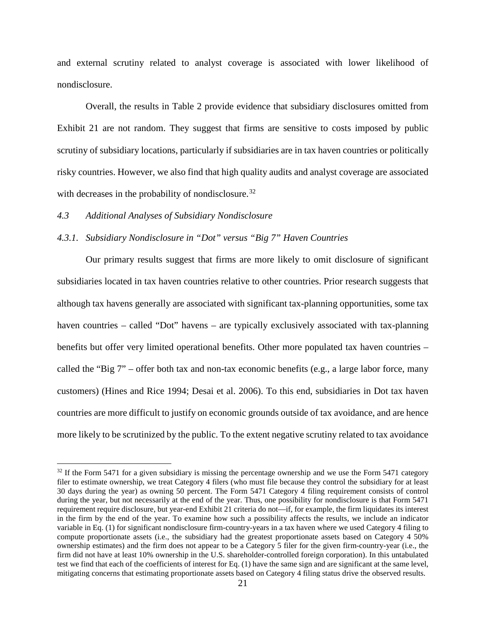and external scrutiny related to analyst coverage is associated with lower likelihood of nondisclosure.

Overall, the results in Table 2 provide evidence that subsidiary disclosures omitted from Exhibit 21 are not random. They suggest that firms are sensitive to costs imposed by public scrutiny of subsidiary locations, particularly if subsidiaries are in tax haven countries or politically risky countries. However, we also find that high quality audits and analyst coverage are associated with decreases in the probability of nondisclosure.<sup>[32](#page-21-0)</sup>

#### *4.3 Additional Analyses of Subsidiary Nondisclosure*

## *4.3.1. Subsidiary Nondisclosure in "Dot" versus "Big 7" Haven Countries*

Our primary results suggest that firms are more likely to omit disclosure of significant subsidiaries located in tax haven countries relative to other countries. Prior research suggests that although tax havens generally are associated with significant tax-planning opportunities, some tax haven countries – called "Dot" havens – are typically exclusively associated with tax-planning benefits but offer very limited operational benefits. Other more populated tax haven countries – called the "Big 7" – offer both tax and non-tax economic benefits (e.g., a large labor force, many customers) (Hines and Rice 1994; Desai et al. 2006). To this end, subsidiaries in Dot tax haven countries are more difficult to justify on economic grounds outside of tax avoidance, and are hence more likely to be scrutinized by the public. To the extent negative scrutiny related to tax avoidance

<span id="page-21-0"></span> $32$  If the Form 5471 for a given subsidiary is missing the percentage ownership and we use the Form 5471 category filer to estimate ownership, we treat Category 4 filers (who must file because they control the subsidiary for at least 30 days during the year) as owning 50 percent. The Form 5471 Category 4 filing requirement consists of control during the year, but not necessarily at the end of the year. Thus, one possibility for nondisclosure is that Form 5471 requirement require disclosure, but year-end Exhibit 21 criteria do not—if, for example, the firm liquidates its interest in the firm by the end of the year. To examine how such a possibility affects the results, we include an indicator variable in Eq. (1) for significant nondisclosure firm-country-years in a tax haven where we used Category 4 filing to compute proportionate assets (i.e., the subsidiary had the greatest proportionate assets based on Category 4 50% ownership estimates) and the firm does not appear to be a Category 5 filer for the given firm-country-year (i.e., the firm did not have at least 10% ownership in the U.S. shareholder-controlled foreign corporation). In this untabulated test we find that each of the coefficients of interest for Eq. (1) have the same sign and are significant at the same level, mitigating concerns that estimating proportionate assets based on Category 4 filing status drive the observed results.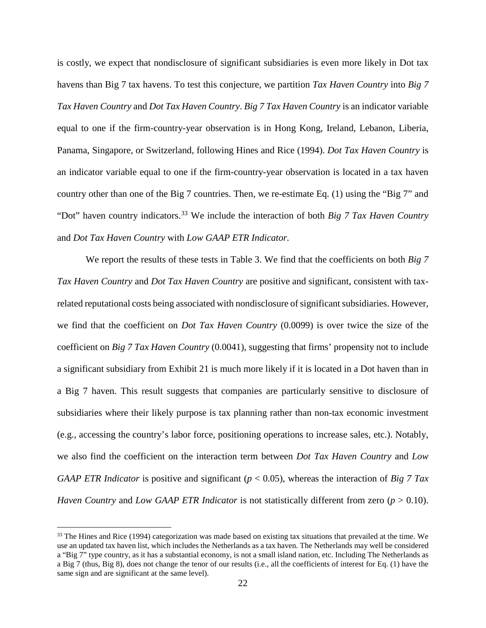is costly, we expect that nondisclosure of significant subsidiaries is even more likely in Dot tax havens than Big 7 tax havens. To test this conjecture, we partition *Tax Haven Country* into *Big 7 Tax Haven Country* and *Dot Tax Haven Country*. *Big 7 Tax Haven Country* is an indicator variable equal to one if the firm-country-year observation is in Hong Kong, Ireland, Lebanon, Liberia, Panama, Singapore, or Switzerland, following Hines and Rice (1994). *Dot Tax Haven Country* is an indicator variable equal to one if the firm-country-year observation is located in a tax haven country other than one of the Big 7 countries. Then, we re-estimate Eq. (1) using the "Big 7" and "Dot" haven country indicators.[33](#page-22-0) We include the interaction of both *Big 7 Tax Haven Country* and *Dot Tax Haven Country* with *Low GAAP ETR Indicator.*

We report the results of these tests in Table 3. We find that the coefficients on both *Big 7 Tax Haven Country* and *Dot Tax Haven Country* are positive and significant, consistent with taxrelated reputational costs being associated with nondisclosure of significant subsidiaries. However, we find that the coefficient on *Dot Tax Haven Country* (0.0099) is over twice the size of the coefficient on *Big 7 Tax Haven Country* (0.0041), suggesting that firms' propensity not to include a significant subsidiary from Exhibit 21 is much more likely if it is located in a Dot haven than in a Big 7 haven. This result suggests that companies are particularly sensitive to disclosure of subsidiaries where their likely purpose is tax planning rather than non-tax economic investment (e.g., accessing the country's labor force, positioning operations to increase sales, etc.). Notably, we also find the coefficient on the interaction term between *Dot Tax Haven Country* and *Low GAAP ETR Indicator* is positive and significant (*p* < 0.05), whereas the interaction of *Big 7 Tax Haven Country* and *Low GAAP ETR Indicator* is not statistically different from zero (*p* > 0.10).

<span id="page-22-0"></span><sup>&</sup>lt;sup>33</sup> The Hines and Rice (1994) categorization was made based on existing tax situations that prevailed at the time. We use an updated tax haven list, which includes the Netherlands as a tax haven. The Netherlands may well be considered a "Big 7" type country, as it has a substantial economy, is not a small island nation, etc. Including The Netherlands as a Big 7 (thus, Big 8), does not change the tenor of our results (i.e., all the coefficients of interest for Eq. (1) have the same sign and are significant at the same level).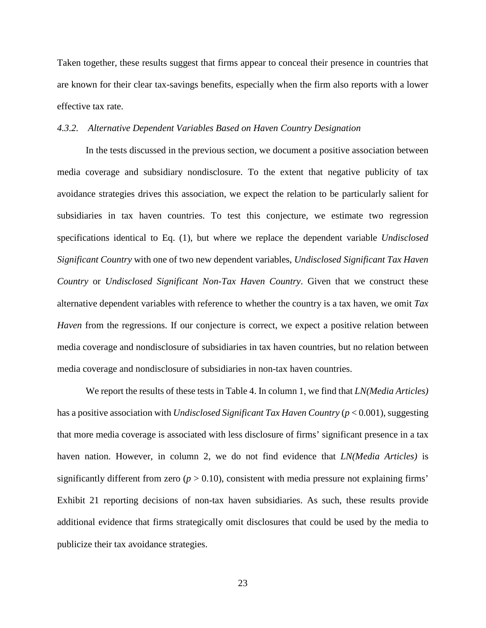Taken together, these results suggest that firms appear to conceal their presence in countries that are known for their clear tax-savings benefits, especially when the firm also reports with a lower effective tax rate.

## *4.3.2. Alternative Dependent Variables Based on Haven Country Designation*

In the tests discussed in the previous section, we document a positive association between media coverage and subsidiary nondisclosure. To the extent that negative publicity of tax avoidance strategies drives this association, we expect the relation to be particularly salient for subsidiaries in tax haven countries. To test this conjecture, we estimate two regression specifications identical to Eq. (1), but where we replace the dependent variable *Undisclosed Significant Country* with one of two new dependent variables, *Undisclosed Significant Tax Haven Country* or *Undisclosed Significant Non-Tax Haven Country*. Given that we construct these alternative dependent variables with reference to whether the country is a tax haven, we omit *Tax Haven* from the regressions. If our conjecture is correct, we expect a positive relation between media coverage and nondisclosure of subsidiaries in tax haven countries, but no relation between media coverage and nondisclosure of subsidiaries in non-tax haven countries.

We report the results of these tests in Table 4. In column 1, we find that *LN(Media Articles)* has a positive association with *Undisclosed Significant Tax Haven Country* (*p* < 0.001), suggesting that more media coverage is associated with less disclosure of firms' significant presence in a tax haven nation. However, in column 2, we do not find evidence that *LN(Media Articles)* is significantly different from zero ( $p > 0.10$ ), consistent with media pressure not explaining firms' Exhibit 21 reporting decisions of non-tax haven subsidiaries. As such, these results provide additional evidence that firms strategically omit disclosures that could be used by the media to publicize their tax avoidance strategies.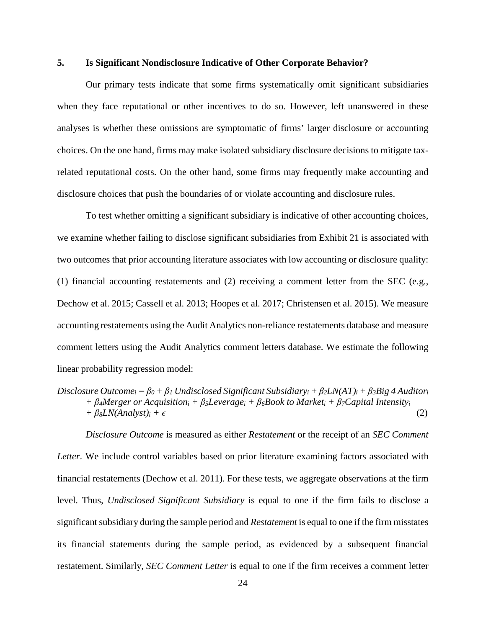## **5. Is Significant Nondisclosure Indicative of Other Corporate Behavior?**

Our primary tests indicate that some firms systematically omit significant subsidiaries when they face reputational or other incentives to do so. However, left unanswered in these analyses is whether these omissions are symptomatic of firms' larger disclosure or accounting choices. On the one hand, firms may make isolated subsidiary disclosure decisions to mitigate taxrelated reputational costs. On the other hand, some firms may frequently make accounting and disclosure choices that push the boundaries of or violate accounting and disclosure rules.

To test whether omitting a significant subsidiary is indicative of other accounting choices, we examine whether failing to disclose significant subsidiaries from Exhibit 21 is associated with two outcomes that prior accounting literature associates with low accounting or disclosure quality: (1) financial accounting restatements and (2) receiving a comment letter from the SEC (e.g., Dechow et al. 2015; Cassell et al. 2013; Hoopes et al. 2017; Christensen et al. 2015). We measure accounting restatements using the Audit Analytics non-reliance restatements database and measure comment letters using the Audit Analytics comment letters database. We estimate the following linear probability regression model:

*Disclosure Outcome* is measured as either *Restatement* or the receipt of an *SEC Comment Letter*. We include control variables based on prior literature examining factors associated with financial restatements (Dechow et al. 2011). For these tests, we aggregate observations at the firm level. Thus, *Undisclosed Significant Subsidiary* is equal to one if the firm fails to disclose a significant subsidiary during the sample period and *Restatement* is equal to one if the firm misstates its financial statements during the sample period, as evidenced by a subsequent financial restatement. Similarly, *SEC Comment Letter* is equal to one if the firm receives a comment letter

*Disclosure Outcome*<sub>i</sub> =  $\beta_0$  +  $\beta_1$  *Undisclosed Significant Subsidiary*<sub>i</sub> +  $\beta_2LN(AT)_i$  +  $\beta_3Big$  4 *Auditor*<sub>i</sub> *+ β4Merger or Acquisitioni + β5Leveragei + β6Book to Marketi + β7Capital Intensityi*  $+ \beta \delta L N (Analyst)_i + \epsilon$  (2)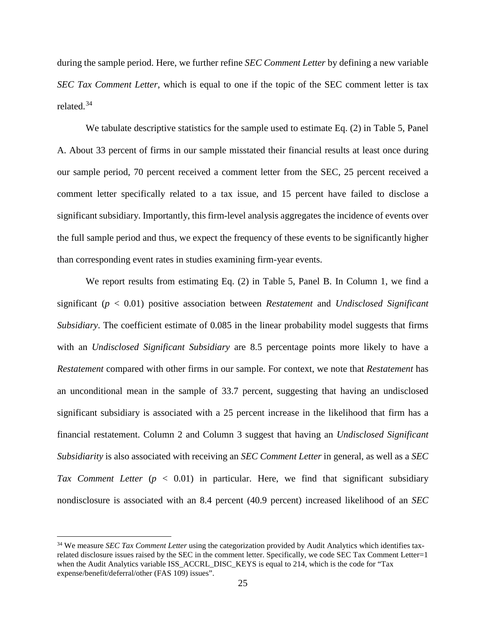during the sample period. Here, we further refine *SEC Comment Letter* by defining a new variable *SEC Tax Comment Letter*, which is equal to one if the topic of the SEC comment letter is tax related.[34](#page-25-0)

We tabulate descriptive statistics for the sample used to estimate Eq. (2) in Table 5, Panel A. About 33 percent of firms in our sample misstated their financial results at least once during our sample period, 70 percent received a comment letter from the SEC, 25 percent received a comment letter specifically related to a tax issue, and 15 percent have failed to disclose a significant subsidiary. Importantly, this firm-level analysis aggregates the incidence of events over the full sample period and thus, we expect the frequency of these events to be significantly higher than corresponding event rates in studies examining firm-year events.

We report results from estimating Eq. (2) in Table 5, Panel B. In Column 1, we find a significant (*p* < 0.01) positive association between *Restatement* and *Undisclosed Significant Subsidiary*. The coefficient estimate of 0.085 in the linear probability model suggests that firms with an *Undisclosed Significant Subsidiary* are 8.5 percentage points more likely to have a *Restatement* compared with other firms in our sample. For context, we note that *Restatement* has an unconditional mean in the sample of 33.7 percent, suggesting that having an undisclosed significant subsidiary is associated with a 25 percent increase in the likelihood that firm has a financial restatement. Column 2 and Column 3 suggest that having an *Undisclosed Significant Subsidiarity* is also associated with receiving an *SEC Comment Letter* in general, as well as a *SEC Tax Comment Letter* (*p* < 0.01) in particular. Here, we find that significant subsidiary nondisclosure is associated with an 8.4 percent (40.9 percent) increased likelihood of an *SEC* 

<span id="page-25-0"></span><sup>&</sup>lt;sup>34</sup> We measure *SEC Tax Comment Letter* using the categorization provided by Audit Analytics which identifies taxrelated disclosure issues raised by the SEC in the comment letter. Specifically, we code SEC Tax Comment Letter=1 when the Audit Analytics variable ISS\_ACCRL\_DISC\_KEYS is equal to 214, which is the code for "Tax expense/benefit/deferral/other (FAS 109) issues".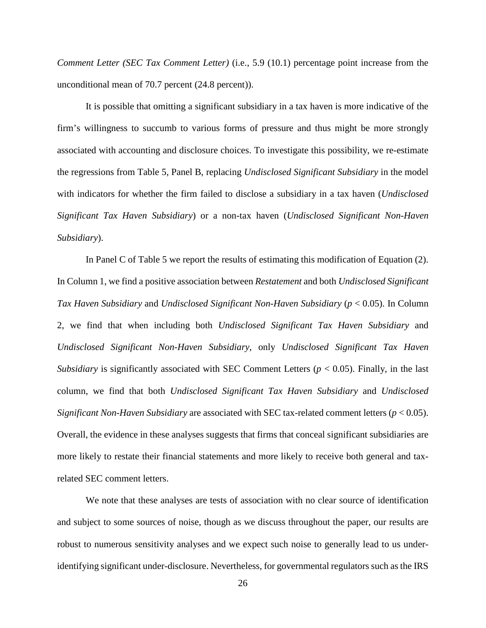*Comment Letter (SEC Tax Comment Letter)* (i.e., 5.9 (10.1) percentage point increase from the unconditional mean of 70.7 percent (24.8 percent)).

It is possible that omitting a significant subsidiary in a tax haven is more indicative of the firm's willingness to succumb to various forms of pressure and thus might be more strongly associated with accounting and disclosure choices. To investigate this possibility, we re-estimate the regressions from Table 5, Panel B, replacing *Undisclosed Significant Subsidiary* in the model with indicators for whether the firm failed to disclose a subsidiary in a tax haven (*Undisclosed Significant Tax Haven Subsidiary*) or a non-tax haven (*Undisclosed Significant Non-Haven Subsidiary*).

In Panel C of Table 5 we report the results of estimating this modification of Equation (2). In Column 1, we find a positive association between *Restatement* and both *Undisclosed Significant Tax Haven Subsidiary* and *Undisclosed Significant Non-Haven Subsidiary* (*p* < 0.05). In Column 2, we find that when including both *Undisclosed Significant Tax Haven Subsidiary* and *Undisclosed Significant Non-Haven Subsidiary*, only *Undisclosed Significant Tax Haven Subsidiary* is significantly associated with SEC Comment Letters (*p* < 0.05). Finally, in the last column, we find that both *Undisclosed Significant Tax Haven Subsidiary* and *Undisclosed Significant Non-Haven Subsidiary* are associated with SEC tax-related comment letters (*p* < 0.05). Overall, the evidence in these analyses suggests that firms that conceal significant subsidiaries are more likely to restate their financial statements and more likely to receive both general and taxrelated SEC comment letters.

We note that these analyses are tests of association with no clear source of identification and subject to some sources of noise, though as we discuss throughout the paper, our results are robust to numerous sensitivity analyses and we expect such noise to generally lead to us underidentifying significant under-disclosure. Nevertheless, for governmental regulators such as the IRS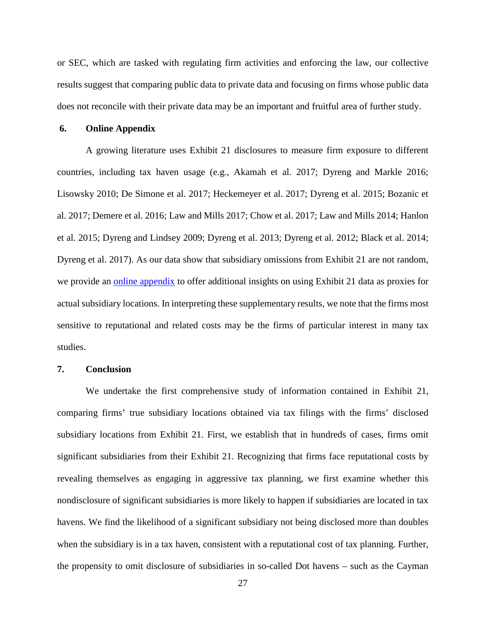or SEC, which are tasked with regulating firm activities and enforcing the law, our collective results suggest that comparing public data to private data and focusing on firms whose public data does not reconcile with their private data may be an important and fruitful area of further study.

#### **6. Online Appendix**

A growing literature uses Exhibit 21 disclosures to measure firm exposure to different countries, including tax haven usage (e.g., Akamah et al. 2017; Dyreng and Markle 2016; Lisowsky 2010; De Simone et al. 2017; Heckemeyer et al. 2017; Dyreng et al. 2015; Bozanic et al. 2017; Demere et al. 2016; Law and Mills 2017; Chow et al. 2017; Law and Mills 2014; Hanlon et al. 2015; Dyreng and Lindsey 2009; Dyreng et al. 2013; Dyreng et al. 2012; Black et al. 2014; Dyreng et al. 2017). As our data show that subsidiary omissions from Exhibit 21 are not random, we provide an [online appendix](https://www.dropbox.com/s/q4he4t3juwn589f/Online%20Appendix.pdf?dl=1) to offer additional insights on using Exhibit 21 data as proxies for actual subsidiary locations. In interpreting these supplementary results, we note that the firms most sensitive to reputational and related costs may be the firms of particular interest in many tax studies.

#### **7. Conclusion**

We undertake the first comprehensive study of information contained in Exhibit 21, comparing firms' true subsidiary locations obtained via tax filings with the firms' disclosed subsidiary locations from Exhibit 21. First, we establish that in hundreds of cases, firms omit significant subsidiaries from their Exhibit 21. Recognizing that firms face reputational costs by revealing themselves as engaging in aggressive tax planning, we first examine whether this nondisclosure of significant subsidiaries is more likely to happen if subsidiaries are located in tax havens. We find the likelihood of a significant subsidiary not being disclosed more than doubles when the subsidiary is in a tax haven, consistent with a reputational cost of tax planning. Further, the propensity to omit disclosure of subsidiaries in so-called Dot havens – such as the Cayman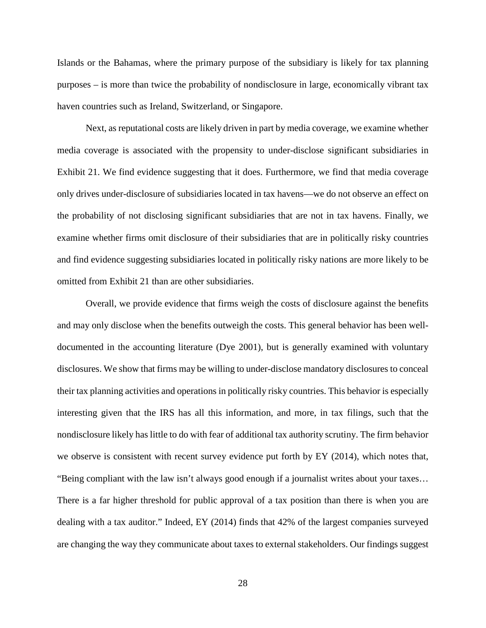Islands or the Bahamas, where the primary purpose of the subsidiary is likely for tax planning purposes – is more than twice the probability of nondisclosure in large, economically vibrant tax haven countries such as Ireland, Switzerland, or Singapore.

Next, as reputational costs are likely driven in part by media coverage, we examine whether media coverage is associated with the propensity to under-disclose significant subsidiaries in Exhibit 21. We find evidence suggesting that it does. Furthermore, we find that media coverage only drives under-disclosure of subsidiaries located in tax havens—we do not observe an effect on the probability of not disclosing significant subsidiaries that are not in tax havens. Finally, we examine whether firms omit disclosure of their subsidiaries that are in politically risky countries and find evidence suggesting subsidiaries located in politically risky nations are more likely to be omitted from Exhibit 21 than are other subsidiaries.

Overall, we provide evidence that firms weigh the costs of disclosure against the benefits and may only disclose when the benefits outweigh the costs. This general behavior has been welldocumented in the accounting literature (Dye 2001), but is generally examined with voluntary disclosures. We show that firms may be willing to under-disclose mandatory disclosures to conceal their tax planning activities and operations in politically risky countries. This behavior is especially interesting given that the IRS has all this information, and more, in tax filings, such that the nondisclosure likely has little to do with fear of additional tax authority scrutiny. The firm behavior we observe is consistent with recent survey evidence put forth by EY (2014), which notes that, "Being compliant with the law isn't always good enough if a journalist writes about your taxes… There is a far higher threshold for public approval of a tax position than there is when you are dealing with a tax auditor." Indeed, EY (2014) finds that 42% of the largest companies surveyed are changing the way they communicate about taxes to external stakeholders. Our findings suggest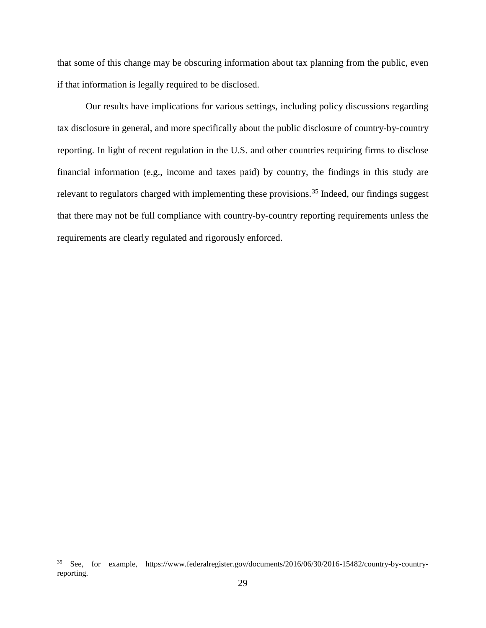that some of this change may be obscuring information about tax planning from the public, even if that information is legally required to be disclosed.

Our results have implications for various settings, including policy discussions regarding tax disclosure in general, and more specifically about the public disclosure of country-by-country reporting. In light of recent regulation in the U.S. and other countries requiring firms to disclose financial information (e.g., income and taxes paid) by country, the findings in this study are relevant to regulators charged with implementing these provisions.<sup>[35](#page-29-0)</sup> Indeed, our findings suggest that there may not be full compliance with country-by-country reporting requirements unless the requirements are clearly regulated and rigorously enforced.

<span id="page-29-0"></span> <sup>35</sup> See, for example, [https://www.federalregister.gov/documents/2016/06/30/2016-15482/country-by-country](https://www.federalregister.gov/documents/2016/06/30/2016-15482/country-by-country-reporting)[reporting.](https://www.federalregister.gov/documents/2016/06/30/2016-15482/country-by-country-reporting)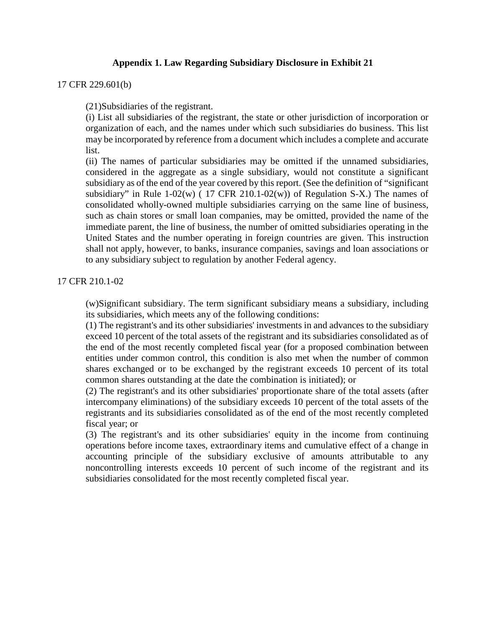# **Appendix 1. Law Regarding Subsidiary Disclosure in Exhibit 21**

## 17 CFR 229.601(b)

(21)Subsidiaries of the registrant.

(i) List all subsidiaries of the registrant, the state or other jurisdiction of incorporation or organization of each, and the names under which such subsidiaries do business. This list may be incorporated by reference from a document which includes a complete and accurate list.

(ii) The names of particular subsidiaries may be omitted if the unnamed subsidiaries, considered in the aggregate as a single subsidiary, would not constitute a significant subsidiary as of the end of the year covered by this report. (See the definition of "significant subsidiary" in Rule  $1-02(w)$  (17 CFR 210.1-02(w)) of Regulation S-X.) The names of consolidated wholly-owned multiple subsidiaries carrying on the same line of business, such as chain stores or small loan companies, may be omitted, provided the name of the immediate parent, the line of business, the number of omitted subsidiaries operating in the United States and the number operating in foreign countries are given. This instruction shall not apply, however, to banks, insurance companies, savings and loan associations or to any subsidiary subject to regulation by another Federal agency.

## 17 CFR 210.1-02

(w)Significant subsidiary. The term significant subsidiary means a subsidiary, including its subsidiaries, which meets any of the following conditions:

(1) The registrant's and its other subsidiaries' investments in and advances to the subsidiary exceed 10 percent of the total assets of the registrant and its subsidiaries consolidated as of the end of the most recently completed fiscal year (for a proposed combination between entities under common control, this condition is also met when the number of common shares exchanged or to be exchanged by the registrant exceeds 10 percent of its total common shares outstanding at the date the combination is initiated); or

(2) The registrant's and its other subsidiaries' proportionate share of the total assets (after intercompany eliminations) of the subsidiary exceeds 10 percent of the total assets of the registrants and its subsidiaries consolidated as of the end of the most recently completed fiscal year; or

(3) The registrant's and its other subsidiaries' equity in the income from continuing operations before income taxes, extraordinary items and cumulative effect of a change in accounting principle of the subsidiary exclusive of amounts attributable to any noncontrolling interests exceeds 10 percent of such income of the registrant and its subsidiaries consolidated for the most recently completed fiscal year.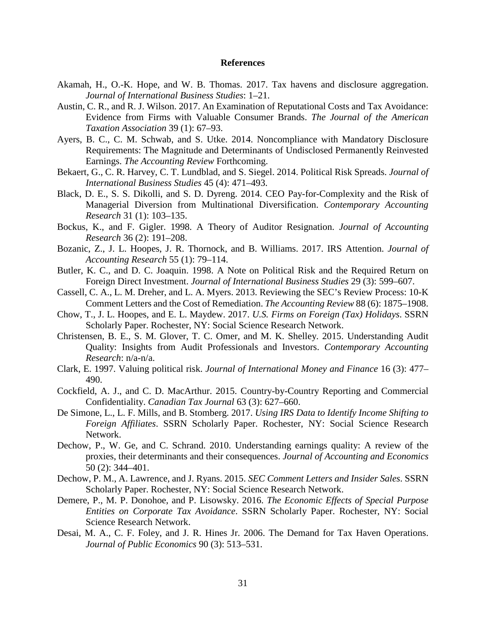#### **References**

- Akamah, H., O.-K. Hope, and W. B. Thomas. 2017. Tax havens and disclosure aggregation. *Journal of International Business Studies*: 1–21.
- Austin, C. R., and R. J. Wilson. 2017. An Examination of Reputational Costs and Tax Avoidance: Evidence from Firms with Valuable Consumer Brands. *The Journal of the American Taxation Association* 39 (1): 67–93.
- Ayers, B. C., C. M. Schwab, and S. Utke. 2014. Noncompliance with Mandatory Disclosure Requirements: The Magnitude and Determinants of Undisclosed Permanently Reinvested Earnings. *The Accounting Review* Forthcoming.
- Bekaert, G., C. R. Harvey, C. T. Lundblad, and S. Siegel. 2014. Political Risk Spreads. *Journal of International Business Studies* 45 (4): 471–493.
- Black, D. E., S. S. Dikolli, and S. D. Dyreng. 2014. CEO Pay-for-Complexity and the Risk of Managerial Diversion from Multinational Diversification. *Contemporary Accounting Research* 31 (1): 103–135.
- Bockus, K., and F. Gigler. 1998. A Theory of Auditor Resignation. *Journal of Accounting Research* 36 (2): 191–208.
- Bozanic, Z., J. L. Hoopes, J. R. Thornock, and B. Williams. 2017. IRS Attention. *Journal of Accounting Research* 55 (1): 79–114.
- Butler, K. C., and D. C. Joaquin. 1998. A Note on Political Risk and the Required Return on Foreign Direct Investment. *Journal of International Business Studies* 29 (3): 599–607.
- Cassell, C. A., L. M. Dreher, and L. A. Myers. 2013. Reviewing the SEC's Review Process: 10-K Comment Letters and the Cost of Remediation. *The Accounting Review* 88 (6): 1875–1908.
- Chow, T., J. L. Hoopes, and E. L. Maydew. 2017. *U.S. Firms on Foreign (Tax) Holidays*. SSRN Scholarly Paper. Rochester, NY: Social Science Research Network.
- Christensen, B. E., S. M. Glover, T. C. Omer, and M. K. Shelley. 2015. Understanding Audit Quality: Insights from Audit Professionals and Investors. *Contemporary Accounting Research*: n/a-n/a.
- Clark, E. 1997. Valuing political risk. *Journal of International Money and Finance* 16 (3): 477– 490.
- Cockfield, A. J., and C. D. MacArthur. 2015. Country-by-Country Reporting and Commercial Confidentiality. *Canadian Tax Journal* 63 (3): 627–660.
- De Simone, L., L. F. Mills, and B. Stomberg. 2017. *Using IRS Data to Identify Income Shifting to Foreign Affiliates*. SSRN Scholarly Paper. Rochester, NY: Social Science Research Network.
- Dechow, P., W. Ge, and C. Schrand. 2010. Understanding earnings quality: A review of the proxies, their determinants and their consequences. *Journal of Accounting and Economics* 50 (2): 344–401.
- Dechow, P. M., A. Lawrence, and J. Ryans. 2015. *SEC Comment Letters and Insider Sales*. SSRN Scholarly Paper. Rochester, NY: Social Science Research Network.
- Demere, P., M. P. Donohoe, and P. Lisowsky. 2016. *The Economic Effects of Special Purpose Entities on Corporate Tax Avoidance*. SSRN Scholarly Paper. Rochester, NY: Social Science Research Network.
- Desai, M. A., C. F. Foley, and J. R. Hines Jr. 2006. The Demand for Tax Haven Operations. *Journal of Public Economics* 90 (3): 513–531.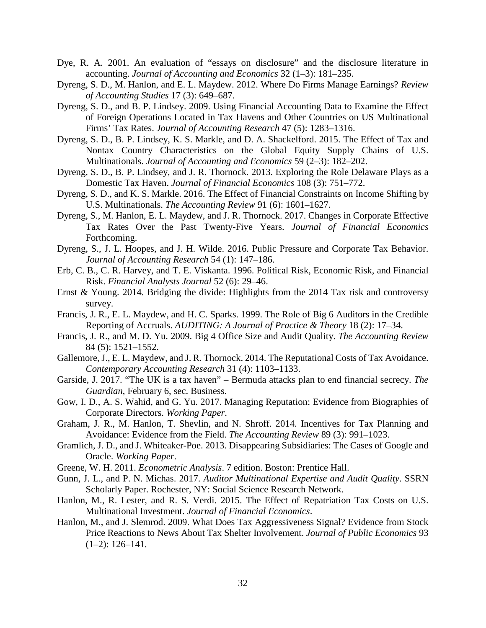- Dye, R. A. 2001. An evaluation of "essays on disclosure" and the disclosure literature in accounting. *Journal of Accounting and Economics* 32 (1–3): 181–235.
- Dyreng, S. D., M. Hanlon, and E. L. Maydew. 2012. Where Do Firms Manage Earnings? *Review of Accounting Studies* 17 (3): 649–687.
- Dyreng, S. D., and B. P. Lindsey. 2009. Using Financial Accounting Data to Examine the Effect of Foreign Operations Located in Tax Havens and Other Countries on US Multinational Firms' Tax Rates. *Journal of Accounting Research* 47 (5): 1283–1316.
- Dyreng, S. D., B. P. Lindsey, K. S. Markle, and D. A. Shackelford. 2015. The Effect of Tax and Nontax Country Characteristics on the Global Equity Supply Chains of U.S. Multinationals. *Journal of Accounting and Economics* 59 (2–3): 182–202.
- Dyreng, S. D., B. P. Lindsey, and J. R. Thornock. 2013. Exploring the Role Delaware Plays as a Domestic Tax Haven. *Journal of Financial Economics* 108 (3): 751–772.
- Dyreng, S. D., and K. S. Markle. 2016. The Effect of Financial Constraints on Income Shifting by U.S. Multinationals. *The Accounting Review* 91 (6): 1601–1627.
- Dyreng, S., M. Hanlon, E. L. Maydew, and J. R. Thornock. 2017. Changes in Corporate Effective Tax Rates Over the Past Twenty-Five Years. *Journal of Financial Economics* Forthcoming.
- Dyreng, S., J. L. Hoopes, and J. H. Wilde. 2016. Public Pressure and Corporate Tax Behavior. *Journal of Accounting Research* 54 (1): 147–186.
- Erb, C. B., C. R. Harvey, and T. E. Viskanta. 1996. Political Risk, Economic Risk, and Financial Risk. *Financial Analysts Journal* 52 (6): 29–46.
- Ernst & Young. 2014. Bridging the divide: Highlights from the 2014 Tax risk and controversy survey.
- Francis, J. R., E. L. Maydew, and H. C. Sparks. 1999. The Role of Big 6 Auditors in the Credible Reporting of Accruals. *AUDITING: A Journal of Practice & Theory* 18 (2): 17–34.
- Francis, J. R., and M. D. Yu. 2009. Big 4 Office Size and Audit Quality. *The Accounting Review* 84 (5): 1521–1552.
- Gallemore, J., E. L. Maydew, and J. R. Thornock. 2014. The Reputational Costs of Tax Avoidance. *Contemporary Accounting Research* 31 (4): 1103–1133.
- Garside, J. 2017. "The UK is a tax haven" Bermuda attacks plan to end financial secrecy. *The Guardian*, February 6, sec. Business.
- Gow, I. D., A. S. Wahid, and G. Yu. 2017. Managing Reputation: Evidence from Biographies of Corporate Directors. *Working Paper*.
- Graham, J. R., M. Hanlon, T. Shevlin, and N. Shroff. 2014. Incentives for Tax Planning and Avoidance: Evidence from the Field. *The Accounting Review* 89 (3): 991–1023.
- Gramlich, J. D., and J. Whiteaker-Poe. 2013. Disappearing Subsidiaries: The Cases of Google and Oracle. *Working Paper*.
- Greene, W. H. 2011. *Econometric Analysis*. 7 edition. Boston: Prentice Hall.
- Gunn, J. L., and P. N. Michas. 2017. *Auditor Multinational Expertise and Audit Quality*. SSRN Scholarly Paper. Rochester, NY: Social Science Research Network.
- Hanlon, M., R. Lester, and R. S. Verdi. 2015. The Effect of Repatriation Tax Costs on U.S. Multinational Investment. *Journal of Financial Economics*.
- Hanlon, M., and J. Slemrod. 2009. What Does Tax Aggressiveness Signal? Evidence from Stock Price Reactions to News About Tax Shelter Involvement. *Journal of Public Economics* 93  $(1-2)$ : 126-141.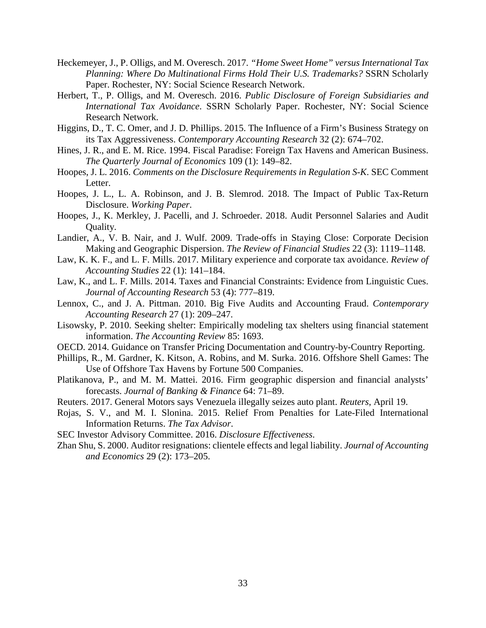- Heckemeyer, J., P. Olligs, and M. Overesch. 2017. *"Home Sweet Home" versus International Tax Planning: Where Do Multinational Firms Hold Their U.S. Trademarks?* SSRN Scholarly Paper. Rochester, NY: Social Science Research Network.
- Herbert, T., P. Olligs, and M. Overesch. 2016. *Public Disclosure of Foreign Subsidiaries and International Tax Avoidance*. SSRN Scholarly Paper. Rochester, NY: Social Science Research Network.
- Higgins, D., T. C. Omer, and J. D. Phillips. 2015. The Influence of a Firm's Business Strategy on its Tax Aggressiveness. *Contemporary Accounting Research* 32 (2): 674–702.
- Hines, J. R., and E. M. Rice. 1994. Fiscal Paradise: Foreign Tax Havens and American Business. *The Quarterly Journal of Economics* 109 (1): 149–82.
- Hoopes, J. L. 2016. *Comments on the Disclosure Requirements in Regulation S-K*. SEC Comment Letter.
- Hoopes, J. L., L. A. Robinson, and J. B. Slemrod. 2018. The Impact of Public Tax-Return Disclosure. *Working Paper*.
- Hoopes, J., K. Merkley, J. Pacelli, and J. Schroeder. 2018. Audit Personnel Salaries and Audit Quality.
- Landier, A., V. B. Nair, and J. Wulf. 2009. Trade-offs in Staying Close: Corporate Decision Making and Geographic Dispersion. *The Review of Financial Studies* 22 (3): 1119–1148.
- Law, K. K. F., and L. F. Mills. 2017. Military experience and corporate tax avoidance. *Review of Accounting Studies* 22 (1): 141–184.
- Law, K., and L. F. Mills. 2014. Taxes and Financial Constraints: Evidence from Linguistic Cues. *Journal of Accounting Research* 53 (4): 777–819.
- Lennox, C., and J. A. Pittman. 2010. Big Five Audits and Accounting Fraud. *Contemporary Accounting Research* 27 (1): 209–247.
- Lisowsky, P. 2010. Seeking shelter: Empirically modeling tax shelters using financial statement information. *The Accounting Review* 85: 1693.
- OECD. 2014. Guidance on Transfer Pricing Documentation and Country-by-Country Reporting.
- Phillips, R., M. Gardner, K. Kitson, A. Robins, and M. Surka. 2016. Offshore Shell Games: The Use of Offshore Tax Havens by Fortune 500 Companies.
- Platikanova, P., and M. M. Mattei. 2016. Firm geographic dispersion and financial analysts' forecasts. *Journal of Banking & Finance* 64: 71–89.
- Reuters. 2017. General Motors says Venezuela illegally seizes auto plant. *Reuters*, April 19.
- Rojas, S. V., and M. I. Slonina. 2015. Relief From Penalties for Late-Filed International Information Returns. *The Tax Advisor*.
- SEC Investor Advisory Committee. 2016. *Disclosure Effectiveness*.
- Zhan Shu, S. 2000. Auditor resignations: clientele effects and legal liability. *Journal of Accounting and Economics* 29 (2): 173–205.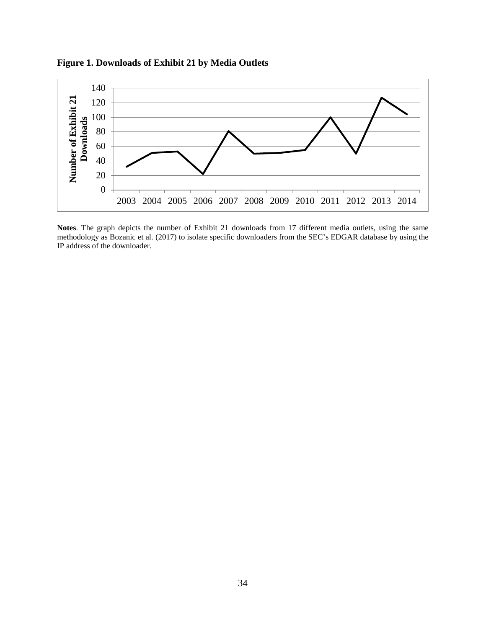**Figure 1. Downloads of Exhibit 21 by Media Outlets**



**Notes**. The graph depicts the number of Exhibit 21 downloads from 17 different media outlets, using the same methodology as Bozanic et al. (2017) to isolate specific downloaders from the SEC's EDGAR database by using the IP address of the downloader.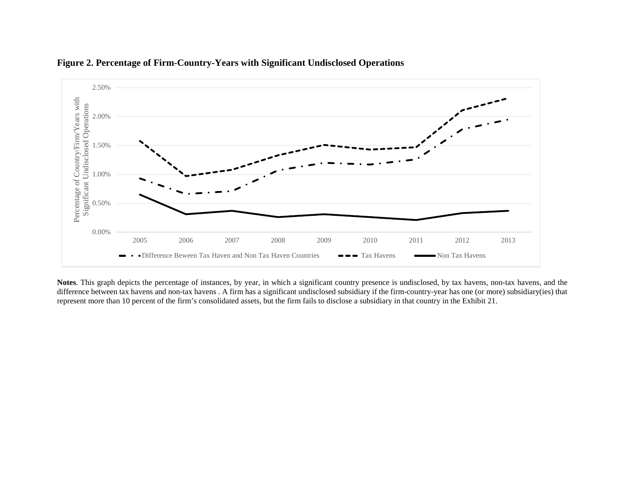

# **Figure 2. Percentage of Firm-Country-Years with Significant Undisclosed Operations**

**Notes**. This graph depicts the percentage of instances, by year, in which a significant country presence is undisclosed, by tax havens, non-tax havens, and the difference between tax havens and non-tax havens . A firm has a significant undisclosed subsidiary if the firm-country-year has one (or more) subsidiary(ies) that represent more than 10 percent of the firm's consolidated assets, but the firm fails to disclose a subsidiary in that country in the Exhibit 21.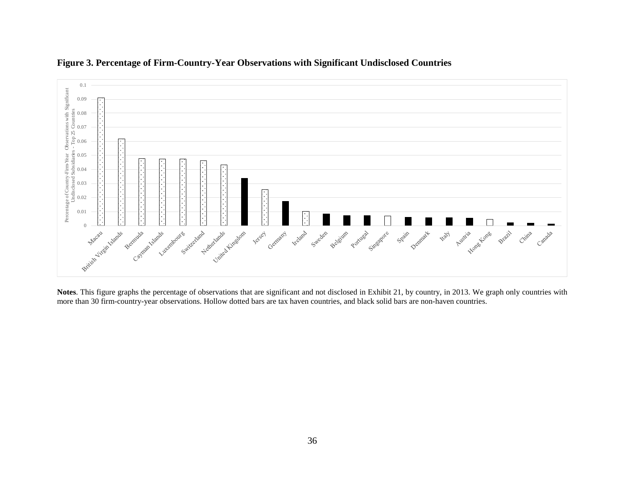

# **Figure 3. Percentage of Firm-Country-Year Observations with Significant Undisclosed Countries**

**Notes**. This figure graphs the percentage of observations that are significant and not disclosed in Exhibit 21, by country, in 2013. We graph only countries with more than 30 firm-country-year observations. Hollow dotted bars are tax haven countries, and black solid bars are non-haven countries.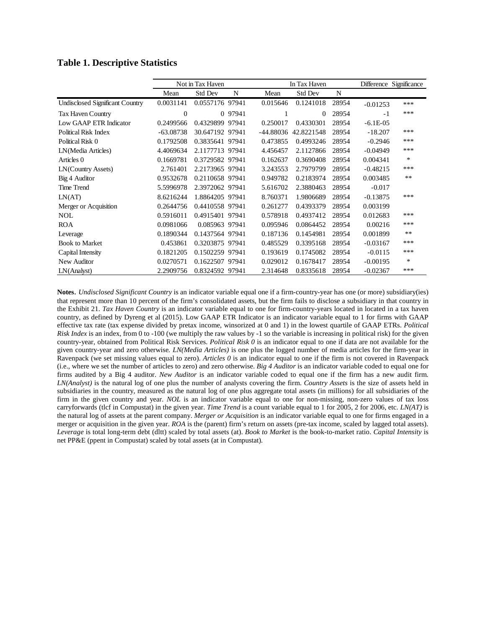## **Table 1. Descriptive Statistics**

|                                 |             | Not in Tax Haven |         |             | In Tax Haven   |       |            | Difference Significance |
|---------------------------------|-------------|------------------|---------|-------------|----------------|-------|------------|-------------------------|
|                                 | Mean        | <b>Std Dev</b>   | N       | Mean        | <b>Std Dev</b> | N     |            |                         |
| Undisclosed Significant Country | 0.0031141   | 0.0557176 97941  |         | 0.015646    | 0.1241018      | 28954 | $-0.01253$ | ***                     |
| <b>Tax Haven Country</b>        | $\theta$    |                  | 0 97941 |             | $\Omega$       | 28954 | $-1$       | ***                     |
| Low GAAP ETR Indicator          | 0.2499566   | 0.4329899 97941  |         | 0.250017    | 0.4330301      | 28954 | $-6.1E-05$ |                         |
| Political Risk Index            | $-63.08738$ | 30.647192 97941  |         | $-44.88036$ | 42.8221548     | 28954 | $-18.207$  | ***                     |
| Political Risk 0                | 0.1792508   | 0.3835641 97941  |         | 0.473855    | 0.4993246      | 28954 | $-0.2946$  | ***                     |
| LN(Media Articles)              | 4.4069634   | 2.1177713 97941  |         | 4.456457    | 2.1127866      | 28954 | $-0.04949$ | ***                     |
| Articles 0                      | 0.1669781   | 0.3729582 97941  |         | 0.162637    | 0.3690408      | 28954 | 0.004341   | $\ast$                  |
| LN(Country Assets)              | 2.761401    | 2.2173965 97941  |         | 3.243553    | 2.7979799      | 28954 | $-0.48215$ | ***                     |
| Big 4 Auditor                   | 0.9532678   | 0.2110658 97941  |         | 0.949782    | 0.2183974      | 28954 | 0.003485   | $**$                    |
| <b>Time Trend</b>               | 5.5996978   | 2.3972062 97941  |         | 5.616702    | 2.3880463      | 28954 | $-0.017$   |                         |
| LN(AT)                          | 8.6216244   | 1.8864205 97941  |         | 8.760371    | 1.9806689      | 28954 | $-0.13875$ | ***                     |
| Merger or Acquisition           | 0.2644756   | 0.4410558 97941  |         | 0.261277    | 0.4393379      | 28954 | 0.003199   |                         |
| <b>NOL</b>                      | 0.5916011   | 0.4915401 97941  |         | 0.578918    | 0.4937412      | 28954 | 0.012683   | ***                     |
| <b>ROA</b>                      | 0.0981066   | 0.085963 97941   |         | 0.095946    | 0.0864452      | 28954 | 0.00216    | ***                     |
| Leverage                        | 0.1890344   | 0.1437564 97941  |         | 0.187136    | 0.1454981      | 28954 | 0.001899   | $**$                    |
| <b>Book to Market</b>           | 0.453861    | 0.3203875 97941  |         | 0.485529    | 0.3395168      | 28954 | $-0.03167$ | ***                     |
| Capital Intensity               | 0.1821205   | 0.1502259 97941  |         | 0.193619    | 0.1745082      | 28954 | $-0.0115$  | ***                     |
| New Auditor                     | 0.0270571   | 0.1622507 97941  |         | 0.029012    | 0.1678417      | 28954 | $-0.00195$ | $\ast$                  |
| LN(Analysis)                    | 2.2909756   | 0.8324592 97941  |         | 2.314648    | 0.8335618      | 28954 | $-0.02367$ | ***                     |

**Notes**. *Undisclosed Significant Country* is an indicator variable equal one if a firm-country-year has one (or more) subsidiary(ies) that represent more than 10 percent of the firm's consolidated assets, but the firm fails to disclose a subsidiary in that country in the Exhibit 21. *Tax Haven Country* is an indicator variable equal to one for firm-country-years located in located in a tax haven country, as defined by Dyreng et al (2015). Low GAAP ETR Indicator is an indicator variable equal to 1 for firms with GAAP effective tax rate (tax expense divided by pretax income, winsorized at 0 and 1) in the lowest quartile of GAAP ETRs. *Political Risk Index* is an index, from 0 to -100 (we multiply the raw values by -1 so the variable is increasing in political risk) for the given country-year, obtained from Political Risk Services. *Political Risk 0* is an indicator equal to one if data are not available for the given country-year and zero otherwise*. LN(Media Articles)* is one plus the logged number of media articles for the firm-year in Ravenpack (we set missing values equal to zero). *Articles 0* is an indicator equal to one if the firm is not covered in Ravenpack (i.e., where we set the number of articles to zero) and zero otherwise. *Big 4 Auditor* is an indicator variable coded to equal one for firms audited by a Big 4 auditor. *New Auditor* is an indicator variable coded to equal one if the firm has a new audit firm. *LN(Analyst)* is the natural log of one plus the number of analysts covering the firm. *Country Assets* is the size of assets held in subsidiaries in the country, measured as the natural log of one plus aggregate total assets (in millions) for all subsidiaries of the firm in the given country and year. *NOL* is an indicator variable equal to one for non-missing, non-zero values of tax loss carryforwards (tlcf in Compustat) in the given year. *Time Trend* is a count variable equal to 1 for 2005, 2 for 2006, etc. *LN(AT)* is the natural log of assets at the parent company. *Merger or Acquisition* is an indicator variable equal to one for firms engaged in a merger or acquisition in the given year. *ROA* is the (parent) firm's return on assets (pre-tax income, scaled by lagged total assets). *Leverage* is total long-term debt (dltt) scaled by total assets (at). *Book to Market* is the book-to-market ratio. *Capital Intensity* is net PP&E (ppent in Compustat) scaled by total assets (at in Compustat)*.*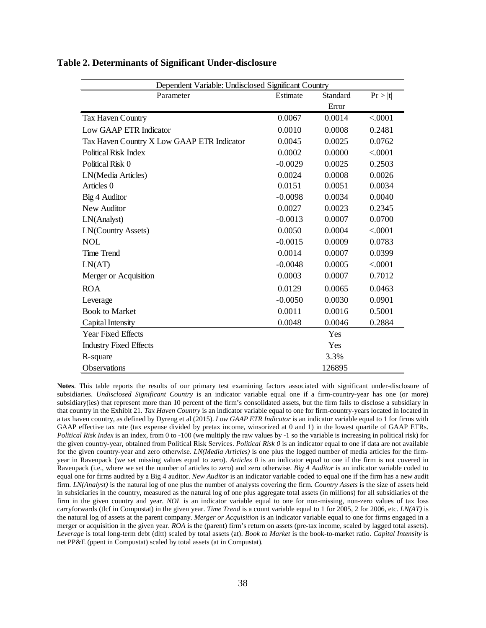| Dependent Variable: Undisclosed Significant Country |           |          |         |  |  |  |
|-----------------------------------------------------|-----------|----------|---------|--|--|--|
| Parameter                                           | Estimate  | Standard | Pr >  t |  |  |  |
|                                                     |           | Error    |         |  |  |  |
| Tax Haven Country                                   | 0.0067    | 0.0014   | < .0001 |  |  |  |
| Low GAAP ETR Indicator                              | 0.0010    | 0.0008   | 0.2481  |  |  |  |
| Tax Haven Country X Low GAAP ETR Indicator          | 0.0045    | 0.0025   | 0.0762  |  |  |  |
| Political Risk Index                                | 0.0002    | 0.0000   | < .0001 |  |  |  |
| Political Risk 0                                    | $-0.0029$ | 0.0025   | 0.2503  |  |  |  |
| LN(Media Articles)                                  | 0.0024    | 0.0008   | 0.0026  |  |  |  |
| Articles 0                                          | 0.0151    | 0.0051   | 0.0034  |  |  |  |
| Big 4 Auditor                                       | $-0.0098$ | 0.0034   | 0.0040  |  |  |  |
| New Auditor                                         | 0.0027    | 0.0023   | 0.2345  |  |  |  |
| LN(Analyst)                                         | $-0.0013$ | 0.0007   | 0.0700  |  |  |  |
| LN(Country Assets)                                  | 0.0050    | 0.0004   | < .0001 |  |  |  |
| <b>NOL</b>                                          | $-0.0015$ | 0.0009   | 0.0783  |  |  |  |
| <b>Time Trend</b>                                   | 0.0014    | 0.0007   | 0.0399  |  |  |  |
| LN(AT)                                              | $-0.0048$ | 0.0005   | < .0001 |  |  |  |
| Merger or Acquisition                               | 0.0003    | 0.0007   | 0.7012  |  |  |  |
| <b>ROA</b>                                          | 0.0129    | 0.0065   | 0.0463  |  |  |  |
| Leverage                                            | $-0.0050$ | 0.0030   | 0.0901  |  |  |  |
| <b>Book to Market</b>                               | 0.0011    | 0.0016   | 0.5001  |  |  |  |
| Capital Intensity                                   | 0.0048    | 0.0046   | 0.2884  |  |  |  |
| <b>Year Fixed Effects</b>                           |           | Yes      |         |  |  |  |
| <b>Industry Fixed Effects</b>                       |           | Yes      |         |  |  |  |
| R-square                                            |           | 3.3%     |         |  |  |  |
| <b>Observations</b>                                 |           | 126895   |         |  |  |  |

#### **Table 2. Determinants of Significant Under-disclosure**

**Notes**. This table reports the results of our primary test examining factors associated with significant under-disclosure of subsidiaries. *Undisclosed Significant Country* is an indicator variable equal one if a firm-country-year has one (or more) subsidiary(ies) that represent more than 10 percent of the firm's consolidated assets, but the firm fails to disclose a subsidiary in that country in the Exhibit 21. *Tax Haven Country* is an indicator variable equal to one for firm-country-years located in located in a tax haven country, as defined by Dyreng et al (2015). *Low GAAP ETR Indicator* is an indicator variable equal to 1 for firms with GAAP effective tax rate (tax expense divided by pretax income, winsorized at 0 and 1) in the lowest quartile of GAAP ETRs. *Political Risk Index* is an index, from 0 to -100 (we multiply the raw values by -1 so the variable is increasing in political risk) for the given country-year, obtained from Political Risk Services. *Political Risk 0* is an indicator equal to one if data are not available for the given country-year and zero otherwise*. LN(Media Articles)* is one plus the logged number of media articles for the firmyear in Ravenpack (we set missing values equal to zero). *Articles 0* is an indicator equal to one if the firm is not covered in Ravenpack (i.e., where we set the number of articles to zero) and zero otherwise. *Big 4 Auditor* is an indicator variable coded to equal one for firms audited by a Big 4 auditor. *New Auditor* is an indicator variable coded to equal one if the firm has a new audit firm. *LN(Analyst)* is the natural log of one plus the number of analysts covering the firm. *Country Assets* is the size of assets held in subsidiaries in the country, measured as the natural log of one plus aggregate total assets (in millions) for all subsidiaries of the firm in the given country and year. *NOL* is an indicator variable equal to one for non-missing, non-zero values of tax loss carryforwards (tlcf in Compustat) in the given year. *Time Trend* is a count variable equal to 1 for 2005, 2 for 2006, etc. *LN(AT)* is the natural log of assets at the parent company. *Merger or Acquisition* is an indicator variable equal to one for firms engaged in a merger or acquisition in the given year. *ROA* is the (parent) firm's return on assets (pre-tax income, scaled by lagged total assets). *Leverage* is total long-term debt (dltt) scaled by total assets (at). *Book to Market* is the book-to-market ratio. *Capital Intensity* is net PP&E (ppent in Compustat) scaled by total assets (at in Compustat)*.*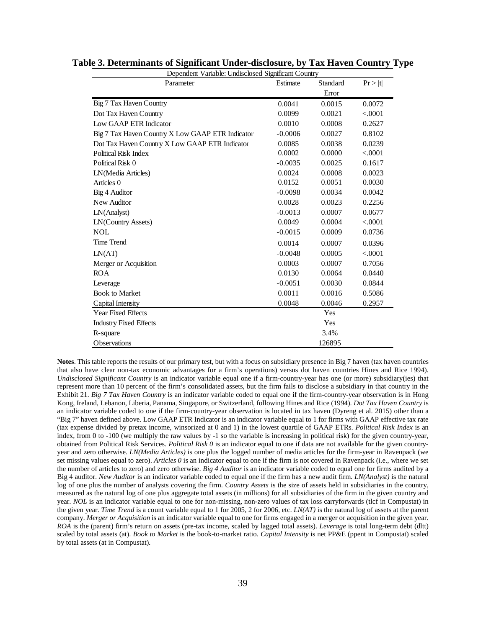| Dependent Variable: Undisclosed Significant Country |           |                   |          |  |  |  |
|-----------------------------------------------------|-----------|-------------------|----------|--|--|--|
| Parameter                                           | Estimate  | Standard<br>Error | Pr >  t  |  |  |  |
| Big 7 Tax Haven Country                             | 0.0041    | 0.0015            | 0.0072   |  |  |  |
|                                                     |           |                   |          |  |  |  |
| Dot Tax Haven Country                               | 0.0099    | 0.0021            | < .0001  |  |  |  |
| Low GAAP ETR Indicator                              | 0.0010    | 0.0008            | 0.2627   |  |  |  |
| Big 7 Tax Haven Country X Low GAAP ETR Indicator    | $-0.0006$ | 0.0027            | 0.8102   |  |  |  |
| Dot Tax Haven Country X Low GAAP ETR Indicator      | 0.0085    | 0.0038            | 0.0239   |  |  |  |
| Political Risk Index                                | 0.0002    | 0.0000            | < 0.0001 |  |  |  |
| Political Risk 0                                    | $-0.0035$ | 0.0025            | 0.1617   |  |  |  |
| LN(Media Articles)                                  | 0.0024    | 0.0008            | 0.0023   |  |  |  |
| Articles 0                                          | 0.0152    | 0.0051            | 0.0030   |  |  |  |
| Big 4 Auditor                                       | $-0.0098$ | 0.0034            | 0.0042   |  |  |  |
| New Auditor                                         | 0.0028    | 0.0023            | 0.2256   |  |  |  |
| LN(Analyst)                                         | $-0.0013$ | 0.0007            | 0.0677   |  |  |  |
| <b>LN(Country Assets)</b>                           | 0.0049    | 0.0004            | < 0.0001 |  |  |  |
| <b>NOL</b>                                          | $-0.0015$ | 0.0009            | 0.0736   |  |  |  |
| Time Trend                                          | 0.0014    | 0.0007            | 0.0396   |  |  |  |
| LN(AT)                                              | $-0.0048$ | 0.0005            | < 0.0001 |  |  |  |
| Merger or Acquisition                               | 0.0003    | 0.0007            | 0.7056   |  |  |  |
| <b>ROA</b>                                          | 0.0130    | 0.0064            | 0.0440   |  |  |  |
| Leverage                                            | $-0.0051$ | 0.0030            | 0.0844   |  |  |  |
| <b>Book to Market</b>                               | 0.0011    | 0.0016            | 0.5086   |  |  |  |
| Capital Intensity                                   | 0.0048    | 0.0046            | 0.2957   |  |  |  |
| Year Fixed Effects                                  |           | Yes               |          |  |  |  |
| <b>Industry Fixed Effects</b>                       |           | Yes               |          |  |  |  |
| R-square                                            |           | 3.4%              |          |  |  |  |
| <b>Observations</b>                                 |           | 126895            |          |  |  |  |

**Notes**. This table reports the results of our primary test, but with a focus on subsidiary presence in Big 7 haven (tax haven countries that also have clear non-tax economic advantages for a firm's operations) versus dot haven countries Hines and Rice 1994). *Undisclosed Significant Country* is an indicator variable equal one if a firm-country-year has one (or more) subsidiary(ies) that represent more than 10 percent of the firm's consolidated assets, but the firm fails to disclose a subsidiary in that country in the Exhibit 21. *Big 7 Tax Haven Country* is an indicator variable coded to equal one if the firm-country-year observation is in Hong Kong, Ireland, Lebanon, Liberia, Panama, Singapore, or Switzerland, following Hines and Rice (1994). *Dot Tax Haven Country* is an indicator variable coded to one if the firm-country-year observation is located in tax haven (Dyreng et al. 2015) other than a "Big 7" haven defined above. Low GAAP ETR Indicator is an indicator variable equal to 1 for firms with GAAP effective tax rate (tax expense divided by pretax income, winsorized at 0 and 1) in the lowest quartile of GAAP ETRs. *Political Risk Index* is an index, from 0 to -100 (we multiply the raw values by -1 so the variable is increasing in political risk) for the given country-year, obtained from Political Risk Services. *Political Risk 0* is an indicator equal to one if data are not available for the given countryyear and zero otherwise*. LN(Media Articles)* is one plus the logged number of media articles for the firm-year in Ravenpack (we set missing values equal to zero). *Articles 0* is an indicator equal to one if the firm is not covered in Ravenpack (i.e., where we set the number of articles to zero) and zero otherwise. *Big 4 Auditor* is an indicator variable coded to equal one for firms audited by a Big 4 auditor. *New Auditor* is an indicator variable coded to equal one if the firm has a new audit firm. *LN(Analyst)* is the natural log of one plus the number of analysts covering the firm. *Country Assets* is the size of assets held in subsidiaries in the country, measured as the natural log of one plus aggregate total assets (in millions) for all subsidiaries of the firm in the given country and year. *NOL* is an indicator variable equal to one for non-missing, non-zero values of tax loss carryforwards (tlcf in Compustat) in the given year. *Time Trend* is a count variable equal to 1 for 2005, 2 for 2006, etc. *LN(AT)* is the natural log of assets at the parent company. *Merger or Acquisition* is an indicator variable equal to one for firms engaged in a merger or acquisition in the given year. *ROA* is the (parent) firm's return on assets (pre-tax income, scaled by lagged total assets). *Leverage* is total long-term debt (dltt) scaled by total assets (at). *Book to Market* is the book-to-market ratio. *Capital Intensity* is net PP&E (ppent in Compustat) scaled by total assets (at in Compustat)*.*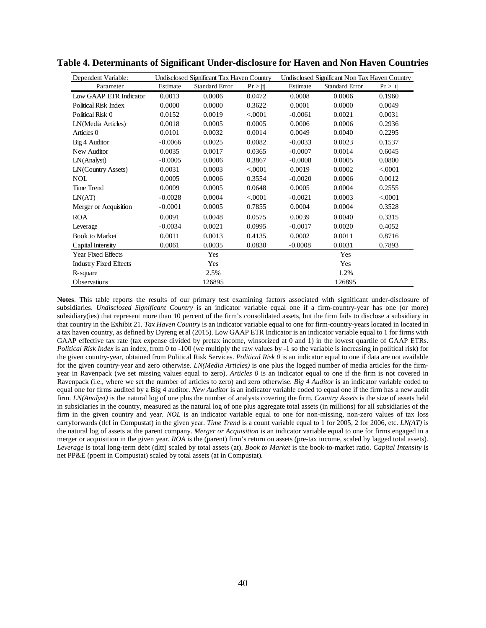| Dependent Variable:           |           | Undisclosed Significant Tax Haven Country |         |           | Undisclosed Significant Non Tax Haven Country |         |
|-------------------------------|-----------|-------------------------------------------|---------|-----------|-----------------------------------------------|---------|
| Parameter                     | Estimate  | <b>Standard Error</b>                     | Pr >  t | Estimate  | <b>Standard Error</b>                         | Pr >  t |
| Low GAAP ETR Indicator        | 0.0013    | 0.0006                                    | 0.0472  | 0.0008    | 0.0006                                        | 0.1960  |
| <b>Political Risk Index</b>   | 0.0000    | 0.0000                                    | 0.3622  | 0.0001    | 0.0000                                        | 0.0049  |
| Political Risk 0              | 0.0152    | 0.0019                                    | < .0001 | $-0.0061$ | 0.0021                                        | 0.0031  |
| LN(Media Articles)            | 0.0018    | 0.0005                                    | 0.0005  | 0.0006    | 0.0006                                        | 0.2936  |
| Articles 0                    | 0.0101    | 0.0032                                    | 0.0014  | 0.0049    | 0.0040                                        | 0.2295  |
| Big 4 Auditor                 | $-0.0066$ | 0.0025                                    | 0.0082  | $-0.0033$ | 0.0023                                        | 0.1537  |
| New Auditor                   | 0.0035    | 0.0017                                    | 0.0365  | $-0.0007$ | 0.0014                                        | 0.6045  |
| LN(Analyst)                   | $-0.0005$ | 0.0006                                    | 0.3867  | $-0.0008$ | 0.0005                                        | 0.0800  |
| LN(Country Assets)            | 0.0031    | 0.0003                                    | < .0001 | 0.0019    | 0.0002                                        | < .0001 |
| <b>NOL</b>                    | 0.0005    | 0.0006                                    | 0.3554  | $-0.0020$ | 0.0006                                        | 0.0012  |
| <b>Time Trend</b>             | 0.0009    | 0.0005                                    | 0.0648  | 0.0005    | 0.0004                                        | 0.2555  |
| LN(AT)                        | $-0.0028$ | 0.0004                                    | < .0001 | $-0.0021$ | 0.0003                                        | < .0001 |
| Merger or Acquisition         | $-0.0001$ | 0.0005                                    | 0.7855  | 0.0004    | 0.0004                                        | 0.3528  |
| <b>ROA</b>                    | 0.0091    | 0.0048                                    | 0.0575  | 0.0039    | 0.0040                                        | 0.3315  |
| Leverage                      | $-0.0034$ | 0.0021                                    | 0.0995  | $-0.0017$ | 0.0020                                        | 0.4052  |
| <b>Book to Market</b>         | 0.0011    | 0.0013                                    | 0.4135  | 0.0002    | 0.0011                                        | 0.8716  |
| Capital Intensity             | 0.0061    | 0.0035                                    | 0.0830  | $-0.0008$ | 0.0031                                        | 0.7893  |
| <b>Year Fixed Effects</b>     |           | Yes                                       |         |           | Yes                                           |         |
| <b>Industry Fixed Effects</b> |           | Yes                                       |         |           | Yes                                           |         |
| R-square                      |           | 2.5%                                      |         |           | 1.2%                                          |         |
| <b>Observations</b>           |           | 126895                                    |         |           | 126895                                        |         |

**Table 4. Determinants of Significant Under-disclosure for Haven and Non Haven Countries**

**Notes**. This table reports the results of our primary test examining factors associated with significant under-disclosure of subsidiaries. *Undisclosed Significant Country* is an indicator variable equal one if a firm-country-year has one (or more) subsidiary(ies) that represent more than 10 percent of the firm's consolidated assets, but the firm fails to disclose a subsidiary in that country in the Exhibit 21. *Tax Haven Country* is an indicator variable equal to one for firm-country-years located in located in a tax haven country, as defined by Dyreng et al (2015). Low GAAP ETR Indicator is an indicator variable equal to 1 for firms with GAAP effective tax rate (tax expense divided by pretax income, winsorized at 0 and 1) in the lowest quartile of GAAP ETRs. *Political Risk Index* is an index, from 0 to -100 (we multiply the raw values by -1 so the variable is increasing in political risk) for the given country-year, obtained from Political Risk Services. *Political Risk 0* is an indicator equal to one if data are not available for the given country-year and zero otherwise*. LN(Media Articles)* is one plus the logged number of media articles for the firmyear in Ravenpack (we set missing values equal to zero). *Articles 0* is an indicator equal to one if the firm is not covered in Ravenpack (i.e., where we set the number of articles to zero) and zero otherwise. *Big 4 Auditor* is an indicator variable coded to equal one for firms audited by a Big 4 auditor. *New Auditor* is an indicator variable coded to equal one if the firm has a new audit firm. *LN(Analyst)* is the natural log of one plus the number of analysts covering the firm. *Country Assets* is the size of assets held in subsidiaries in the country, measured as the natural log of one plus aggregate total assets (in millions) for all subsidiaries of the firm in the given country and year. *NOL* is an indicator variable equal to one for non-missing, non-zero values of tax loss carryforwards (tlcf in Compustat) in the given year. *Time Trend* is a count variable equal to 1 for 2005, 2 for 2006, etc. *LN(AT)* is the natural log of assets at the parent company. *Merger or Acquisition* is an indicator variable equal to one for firms engaged in a merger or acquisition in the given year. *ROA* is the (parent) firm's return on assets (pre-tax income, scaled by lagged total assets). *Leverage* is total long-term debt (dltt) scaled by total assets (at). *Book to Market* is the book-to-market ratio. *Capital Intensity* is net PP&E (ppent in Compustat) scaled by total assets (at in Compustat)*.*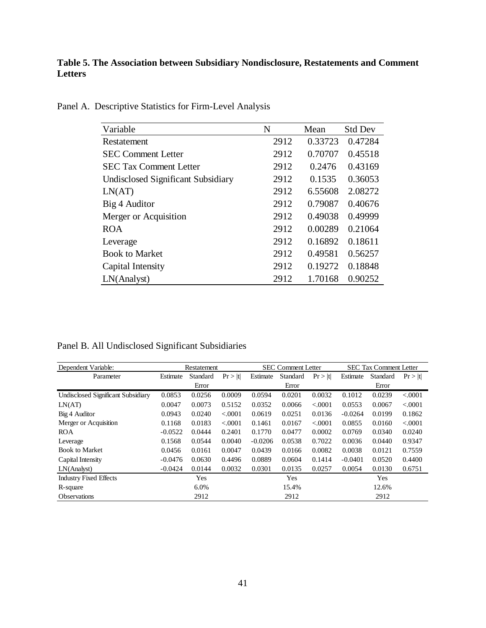# **Table 5. The Association between Subsidiary Nondisclosure, Restatements and Comment Letters**

| Variable                                  | N    | Mean    | <b>Std Dev</b> |
|-------------------------------------------|------|---------|----------------|
| Restatement                               | 2912 | 0.33723 | 0.47284        |
| <b>SEC Comment Letter</b>                 | 2912 | 0.70707 | 0.45518        |
| <b>SEC Tax Comment Letter</b>             | 2912 | 0.2476  | 0.43169        |
| <b>Undisclosed Significant Subsidiary</b> | 2912 | 0.1535  | 0.36053        |
| LN(AT)                                    | 2912 | 6.55608 | 2.08272        |
| Big 4 Auditor                             | 2912 | 0.79087 | 0.40676        |
| Merger or Acquisition                     | 2912 | 0.49038 | 0.49999        |
| <b>ROA</b>                                | 2912 | 0.00289 | 0.21064        |
| Leverage                                  | 2912 | 0.16892 | 0.18611        |
| <b>Book to Market</b>                     | 2912 | 0.49581 | 0.56257        |
| Capital Intensity                         | 2912 | 0.19272 | 0.18848        |
| LN(Analyst)                               | 2912 | 1.70168 | 0.90252        |

Panel A. Descriptive Statistics for Firm-Level Analysis

Panel B. All Undisclosed Significant Subsidiaries

| Dependent Variable:                |           | Restatement | <b>SEC Comment Letter</b> |           | <b>SEC Tax Comment Letter</b> |         |           |          |          |
|------------------------------------|-----------|-------------|---------------------------|-----------|-------------------------------|---------|-----------|----------|----------|
| Parameter                          | Estimate  | Standard    | Pr >  t                   | Estimate  | Standard                      | Pr >  t | Estimate  | Standard | Pr >  t  |
|                                    |           | Error       |                           |           | Error                         |         |           | Error    |          |
| Undisclosed Significant Subsidiary | 0.0853    | 0.0256      | 0.0009                    | 0.0594    | 0.0201                        | 0.0032  | 0.1012    | 0.0239   | < 0.0001 |
| LN(AT)                             | 0.0047    | 0.0073      | 0.5152                    | 0.0352    | 0.0066                        | < .0001 | 0.0553    | 0.0067   | < 0.0001 |
| Big 4 Auditor                      | 0.0943    | 0.0240      | < .0001                   | 0.0619    | 0.0251                        | 0.0136  | $-0.0264$ | 0.0199   | 0.1862   |
| Merger or Acquisition              | 0.1168    | 0.0183      | < .0001                   | 0.1461    | 0.0167                        | < 0001  | 0.0855    | 0.0160   | < 0.0001 |
| <b>ROA</b>                         | $-0.0522$ | 0.0444      | 0.2401                    | 0.1770    | 0.0477                        | 0.0002  | 0.0769    | 0.0340   | 0.0240   |
| Leverage                           | 0.1568    | 0.0544      | 0.0040                    | $-0.0206$ | 0.0538                        | 0.7022  | 0.0036    | 0.0440   | 0.9347   |
| <b>Book to Market</b>              | 0.0456    | 0.0161      | 0.0047                    | 0.0439    | 0.0166                        | 0.0082  | 0.0038    | 0.0121   | 0.7559   |
| Capital Intensity                  | $-0.0476$ | 0.0630      | 0.4496                    | 0.0889    | 0.0604                        | 0.1414  | $-0.0401$ | 0.0520   | 0.4400   |
| LN(Anakst)                         | $-0.0424$ | 0.0144      | 0.0032                    | 0.0301    | 0.0135                        | 0.0257  | 0.0054    | 0.0130   | 0.6751   |
| <b>Industry Fixed Effects</b>      |           | Yes         |                           |           | Yes                           |         |           | Yes      |          |
| R-square                           |           | 6.0%        |                           |           | 15.4%                         |         |           | 12.6%    |          |
| <b>Observations</b>                |           | 2912        |                           |           | 2912                          |         |           | 2912     |          |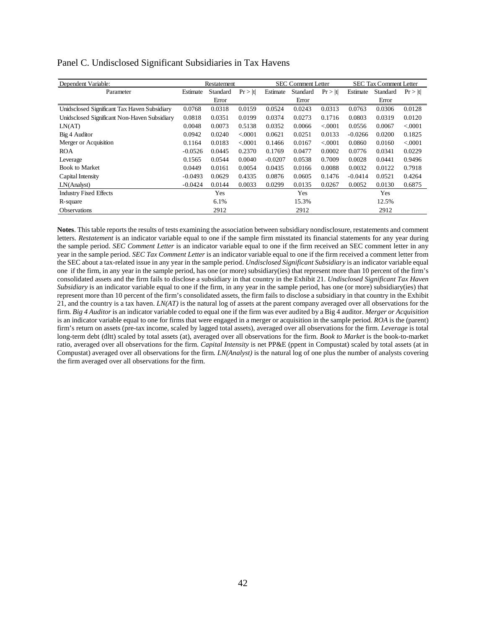| Dependent Variable:                          |           | Restatement |          |           | <b>SEC Comment Letter</b> |          |           | <b>SEC Tax Comment Letter</b> |          |
|----------------------------------------------|-----------|-------------|----------|-----------|---------------------------|----------|-----------|-------------------------------|----------|
| Parameter                                    | Estimate  | Standard    | Pr >  t  | Estimate  | Standard                  | Pr >  t  | Estimate  | Standard                      | Pr >  t  |
|                                              |           | Error       |          |           | Error                     |          |           | Error                         |          |
| Unidsclosed Significant Tax Haven Subsidiary | 0.0768    | 0.0318      | 0.0159   | 0.0524    | 0.0243                    | 0.0313   | 0.0763    | 0.0306                        | 0.0128   |
| Unidsclosed Significant Non-Haven Subsidiary | 0.0818    | 0.0351      | 0.0199   | 0.0374    | 0.0273                    | 0.1716   | 0.0803    | 0.0319                        | 0.0120   |
| LN(AT)                                       | 0.0048    | 0.0073      | 0.5138   | 0.0352    | 0.0066                    | < 0.0001 | 0.0556    | 0.0067                        | < 0.0001 |
| Big 4 Auditor                                | 0.0942    | 0.0240      | < .0001  | 0.0621    | 0.0251                    | 0.0133   | $-0.0266$ | 0.0200                        | 0.1825   |
| Merger or Acquisition                        | 0.1164    | 0.0183      | < 0.0001 | 0.1466    | 0.0167                    | < 0.0001 | 0.0860    | 0.0160                        | < 0.0001 |
| <b>ROA</b>                                   | $-0.0526$ | 0.0445      | 0.2370   | 0.1769    | 0.0477                    | 0.0002   | 0.0776    | 0.0341                        | 0.0229   |
| Leverage                                     | 0.1565    | 0.0544      | 0.0040   | $-0.0207$ | 0.0538                    | 0.7009   | 0.0028    | 0.0441                        | 0.9496   |
| <b>Book to Market</b>                        | 0.0449    | 0.0161      | 0.0054   | 0.0435    | 0.0166                    | 0.0088   | 0.0032    | 0.0122                        | 0.7918   |
| Capital Intensity                            | $-0.0493$ | 0.0629      | 0.4335   | 0.0876    | 0.0605                    | 0.1476   | $-0.0414$ | 0.0521                        | 0.4264   |
| LN(Anakst)                                   | $-0.0424$ | 0.0144      | 0.0033   | 0.0299    | 0.0135                    | 0.0267   | 0.0052    | 0.0130                        | 0.6875   |
| <b>Industry Fixed Effects</b>                |           | Yes         |          |           | Yes                       |          |           | Yes                           |          |
| R-square                                     |           | 6.1%        |          |           | 15.3%                     |          |           | 12.5%                         |          |
| <b>Observations</b>                          |           | 2912        |          |           | 2912                      |          |           | 2912                          |          |

|  | Panel C. Undisclosed Significant Subsidiaries in Tax Havens |  |
|--|-------------------------------------------------------------|--|
|  |                                                             |  |

**Notes**. This table reports the results of tests examining the association between subsidiary nondisclosure, restatements and comment letters. *Restatement* is an indicator variable equal to one if the sample firm misstated its financial statements for any year during the sample period. *SEC Comment Letter* is an indicator variable equal to one if the firm received an SEC comment letter in any year in the sample period. *SEC Tax Comment Letter* is an indicator variable equal to one if the firm received a comment letter from the SEC about a tax-related issue in any year in the sample period. *Undisclosed Significant Subsidiary* is an indicator variable equal one if the firm, in any year in the sample period, has one (or more) subsidiary(ies) that represent more than 10 percent of the firm's consolidated assets and the firm fails to disclose a subsidiary in that country in the Exhibit 21. *Undisclosed Significant Tax Haven Subsidiary* is an indicator variable equal to one if the firm, in any year in the sample period, has one (or more) subsidiary(ies) that represent more than 10 percent of the firm's consolidated assets, the firm fails to disclose a subsidiary in that country in the Exhibit 21, and the country is a tax haven. *LN(AT)* is the natural log of assets at the parent company averaged over all observations for the firm. *Big 4 Auditor* is an indicator variable coded to equal one if the firm was ever audited by a Big 4 auditor. *Merger or Acquisition* is an indicator variable equal to one for firms that were engaged in a merger or acquisition in the sample period. *ROA* is the (parent) firm's return on assets (pre-tax income, scaled by lagged total assets), averaged over all observations for the firm. *Leverage* is total long-term debt (dltt) scaled by total assets (at), averaged over all observations for the firm. *Book to Market* is the book-to-market ratio, averaged over all observations for the firm. *Capital Intensity* is net PP&E (ppent in Compustat) scaled by total assets (at in Compustat) averaged over all observations for the firm*. LN(Analyst)* is the natural log of one plus the number of analysts covering the firm averaged over all observations for the firm.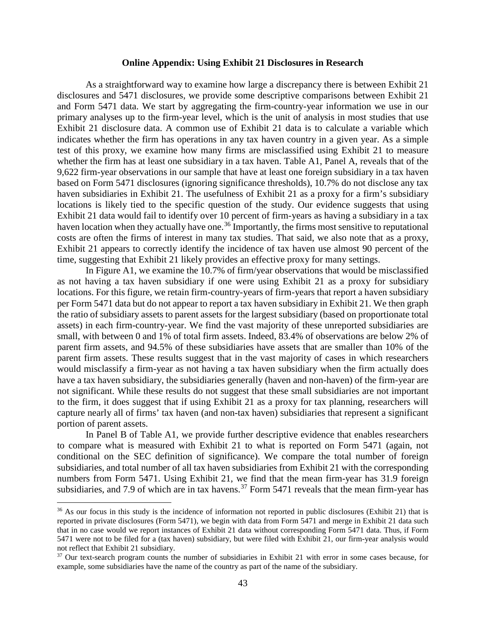#### **Online Appendix: Using Exhibit 21 Disclosures in Research**

As a straightforward way to examine how large a discrepancy there is between Exhibit 21 disclosures and 5471 disclosures, we provide some descriptive comparisons between Exhibit 21 and Form 5471 data. We start by aggregating the firm-country-year information we use in our primary analyses up to the firm-year level, which is the unit of analysis in most studies that use Exhibit 21 disclosure data. A common use of Exhibit 21 data is to calculate a variable which indicates whether the firm has operations in any tax haven country in a given year. As a simple test of this proxy, we examine how many firms are misclassified using Exhibit 21 to measure whether the firm has at least one subsidiary in a tax haven. Table A1, Panel A, reveals that of the 9,622 firm-year observations in our sample that have at least one foreign subsidiary in a tax haven based on Form 5471 disclosures (ignoring significance thresholds), 10.7% do not disclose any tax haven subsidiaries in Exhibit 21. The usefulness of Exhibit 21 as a proxy for a firm's subsidiary locations is likely tied to the specific question of the study. Our evidence suggests that using Exhibit 21 data would fail to identify over 10 percent of firm-years as having a subsidiary in a tax haven location when they actually have one.<sup>[36](#page-43-0)</sup> Importantly, the firms most sensitive to reputational costs are often the firms of interest in many tax studies. That said, we also note that as a proxy, Exhibit 21 appears to correctly identify the incidence of tax haven use almost 90 percent of the time, suggesting that Exhibit 21 likely provides an effective proxy for many settings.

In Figure A1, we examine the 10.7% of firm/year observations that would be misclassified as not having a tax haven subsidiary if one were using Exhibit 21 as a proxy for subsidiary locations. For this figure, we retain firm-country-years of firm-years that report a haven subsidiary per Form 5471 data but do not appear to report a tax haven subsidiary in Exhibit 21. We then graph the ratio of subsidiary assets to parent assets for the largest subsidiary (based on proportionate total assets) in each firm-country-year. We find the vast majority of these unreported subsidiaries are small, with between 0 and 1% of total firm assets. Indeed, 83.4% of observations are below 2% of parent firm assets, and 94.5% of these subsidiaries have assets that are smaller than 10% of the parent firm assets. These results suggest that in the vast majority of cases in which researchers would misclassify a firm-year as not having a tax haven subsidiary when the firm actually does have a tax haven subsidiary, the subsidiaries generally (haven and non-haven) of the firm-year are not significant. While these results do not suggest that these small subsidiaries are not important to the firm, it does suggest that if using Exhibit 21 as a proxy for tax planning, researchers will capture nearly all of firms' tax haven (and non-tax haven) subsidiaries that represent a significant portion of parent assets.

In Panel B of Table A1, we provide further descriptive evidence that enables researchers to compare what is measured with Exhibit 21 to what is reported on Form 5471 (again, not conditional on the SEC definition of significance). We compare the total number of foreign subsidiaries, and total number of all tax haven subsidiaries from Exhibit 21 with the corresponding numbers from Form 5471. Using Exhibit 21, we find that the mean firm-year has 31.9 foreign subsidiaries, and 7.9 of which are in tax havens.<sup>[37](#page-43-1)</sup> Form 5471 reveals that the mean firm-year has

<span id="page-43-0"></span><sup>&</sup>lt;sup>36</sup> As our focus in this study is the incidence of information not reported in public disclosures (Exhibit 21) that is reported in private disclosures (Form 5471), we begin with data from Form 5471 and merge in Exhibit 21 data such that in no case would we report instances of Exhibit 21 data without corresponding Form 5471 data. Thus, if Form 5471 were not to be filed for a (tax haven) subsidiary, but were filed with Exhibit 21, our firm-year analysis would not reflect that Exhibit 21 subsidiary.

<span id="page-43-1"></span><sup>&</sup>lt;sup>37</sup> Our text-search program counts the number of subsidiaries in Exhibit 21 with error in some cases because, for example, some subsidiaries have the name of the country as part of the name of the subsidiary.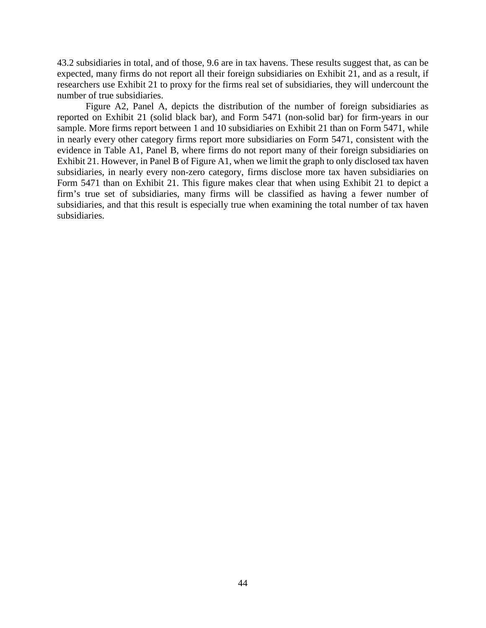43.2 subsidiaries in total, and of those, 9.6 are in tax havens. These results suggest that, as can be expected, many firms do not report all their foreign subsidiaries on Exhibit 21, and as a result, if researchers use Exhibit 21 to proxy for the firms real set of subsidiaries, they will undercount the number of true subsidiaries.

Figure A2, Panel A, depicts the distribution of the number of foreign subsidiaries as reported on Exhibit 21 (solid black bar), and Form 5471 (non-solid bar) for firm-years in our sample. More firms report between 1 and 10 subsidiaries on Exhibit 21 than on Form 5471, while in nearly every other category firms report more subsidiaries on Form 5471, consistent with the evidence in Table A1, Panel B, where firms do not report many of their foreign subsidiaries on Exhibit 21. However, in Panel B of Figure A1, when we limit the graph to only disclosed tax haven subsidiaries, in nearly every non-zero category, firms disclose more tax haven subsidiaries on Form 5471 than on Exhibit 21. This figure makes clear that when using Exhibit 21 to depict a firm's true set of subsidiaries, many firms will be classified as having a fewer number of subsidiaries, and that this result is especially true when examining the total number of tax haven subsidiaries.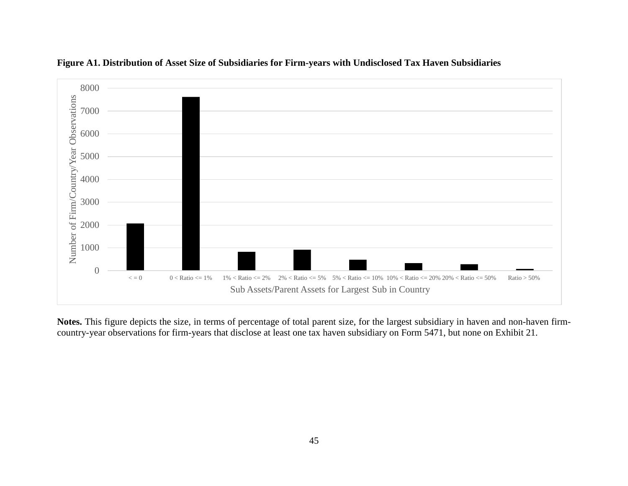



**Notes.** This figure depicts the size, in terms of percentage of total parent size, for the largest subsidiary in haven and non-haven firmcountry-year observations for firm-years that disclose at least one tax haven subsidiary on Form 5471, but none on Exhibit 21.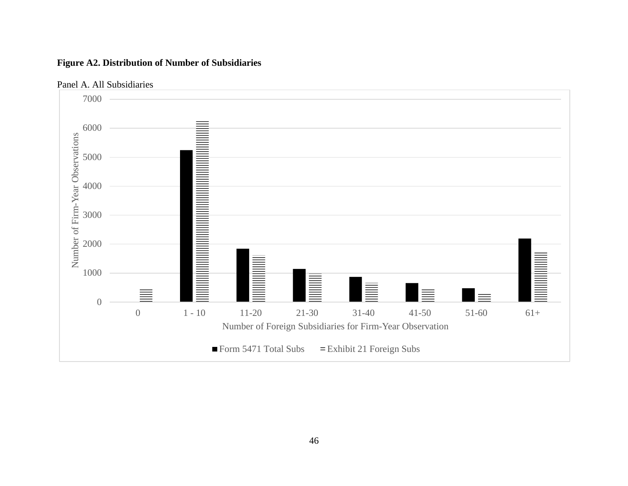



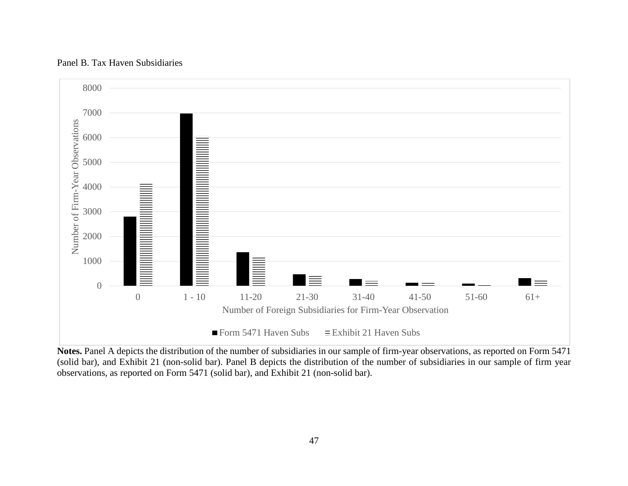

# Panel B. Tax Haven Subsidiaries

**Notes.** Panel A depicts the distribution of the number of subsidiaries in our sample of firm-year observations, as reported on Form 5471 (solid bar), and Exhibit 21 (non-solid bar). Panel B depicts the distribution of the number of subsidiaries in our sample of firm year observations, as reported on Form 5471 (solid bar), and Exhibit 21 (non-solid bar).